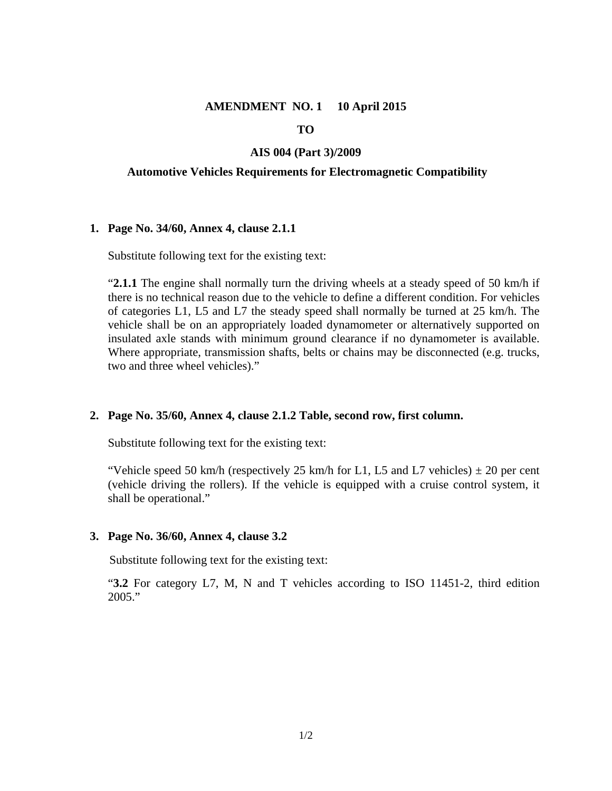### **AMENDMENT NO. 1 10 April 2015**

### **TO**

### **AIS 004 (Part 3)/2009**

### **Automotive Vehicles Requirements for Electromagnetic Compatibility**

### **1. Page No. 34/60, Annex 4, clause 2.1.1**

Substitute following text for the existing text:

"**2.1.1** The engine shall normally turn the driving wheels at a steady speed of 50 km/h if there is no technical reason due to the vehicle to define a different condition. For vehicles of categories L1, L5 and L7 the steady speed shall normally be turned at 25 km/h. The vehicle shall be on an appropriately loaded dynamometer or alternatively supported on insulated axle stands with minimum ground clearance if no dynamometer is available. Where appropriate, transmission shafts, belts or chains may be disconnected (e.g. trucks, two and three wheel vehicles)."

### **2. Page No. 35/60, Annex 4, clause 2.1.2 Table, second row, first column.**

Substitute following text for the existing text:

"Vehicle speed 50 km/h (respectively 25 km/h for L1, L5 and L7 vehicles)  $\pm$  20 per cent (vehicle driving the rollers). If the vehicle is equipped with a cruise control system, it shall be operational."

### **3. Page No. 36/60, Annex 4, clause 3.2**

Substitute following text for the existing text:

"**3.2** For category L7, M, N and T vehicles according to ISO 11451-2, third edition 2005."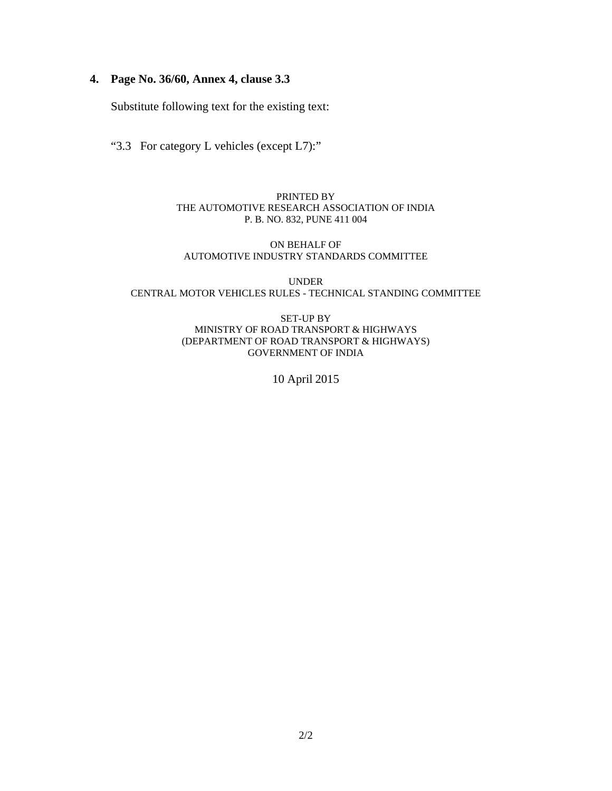# **4. Page No. 36/60, Annex 4, clause 3.3**

Substitute following text for the existing text:

"3.3For category L vehicles (except L7):"

PRINTED BY THE AUTOMOTIVE RESEARCH ASSOCIATION OF INDIA P. B. NO. 832, PUNE 411 004

### ON BEHALF OF AUTOMOTIVE INDUSTRY STANDARDS COMMITTEE

UNDER CENTRAL MOTOR VEHICLES RULES - TECHNICAL STANDING COMMITTEE

> SET-UP BY MINISTRY OF ROAD TRANSPORT & HIGHWAYS (DEPARTMENT OF ROAD TRANSPORT & HIGHWAYS) GOVERNMENT OF INDIA

> > 10 April 2015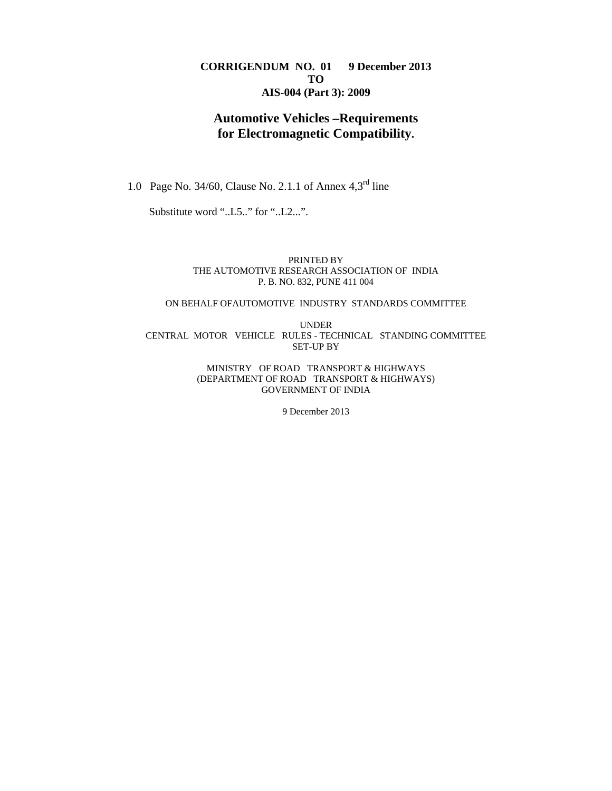### **CORRIGENDUM NO. 01 9 December 2013 TO AIS-004 (Part 3): 2009**

# **Automotive Vehicles –Requirements for Electromagnetic Compatibility.**

1.0 Page No. 34/60, Clause No. 2.1.1 of Annex 4,3rd line

Substitute word "..L5.." for "..L2...".

PRINTED BY THE AUTOMOTIVE RESEARCH ASSOCIATION OF INDIA P. B. NO. 832, PUNE 411 004

### ON BEHALF OFAUTOMOTIVE INDUSTRY STANDARDS COMMITTEE

UNDER CENTRAL MOTOR VEHICLE RULES - TECHNICAL STANDING COMMITTEE SET-UP BY

> MINISTRY OF ROAD TRANSPORT & HIGHWAYS (DEPARTMENT OF ROAD TRANSPORT & HIGHWAYS) GOVERNMENT OF INDIA

> > 9 December 2013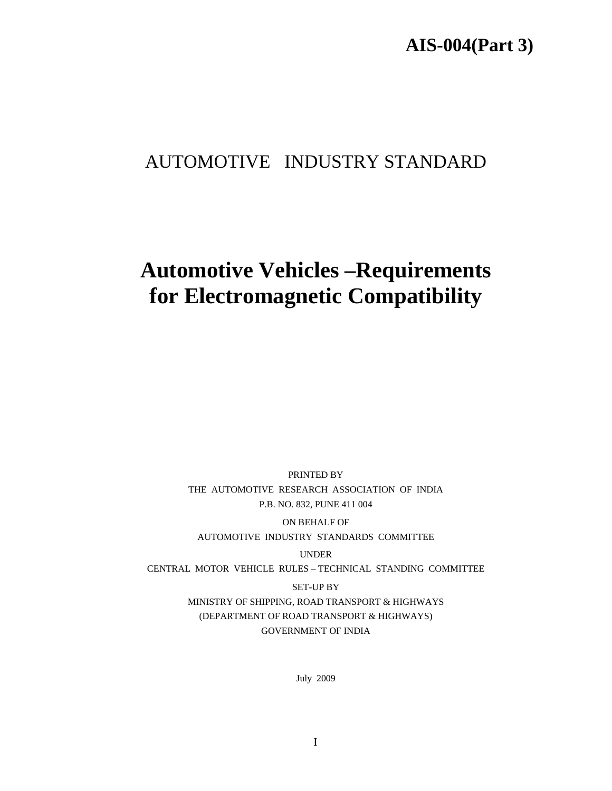# **AIS-004(Part 3)**

# AUTOMOTIVE INDUSTRY STANDARD

# **Automotive Vehicles –Requirements for Electromagnetic Compatibility**

PRINTED BY THE AUTOMOTIVE RESEARCH ASSOCIATION OF INDIA P.B. NO. 832, PUNE 411 004

ON BEHALF OF AUTOMOTIVE INDUSTRY STANDARDS COMMITTEE

UNDER

CENTRAL MOTOR VEHICLE RULES – TECHNICAL STANDING COMMITTEE

SET-UP BY

MINISTRY OF SHIPPING, ROAD TRANSPORT & HIGHWAYS (DEPARTMENT OF ROAD TRANSPORT & HIGHWAYS) GOVERNMENT OF INDIA

July 2009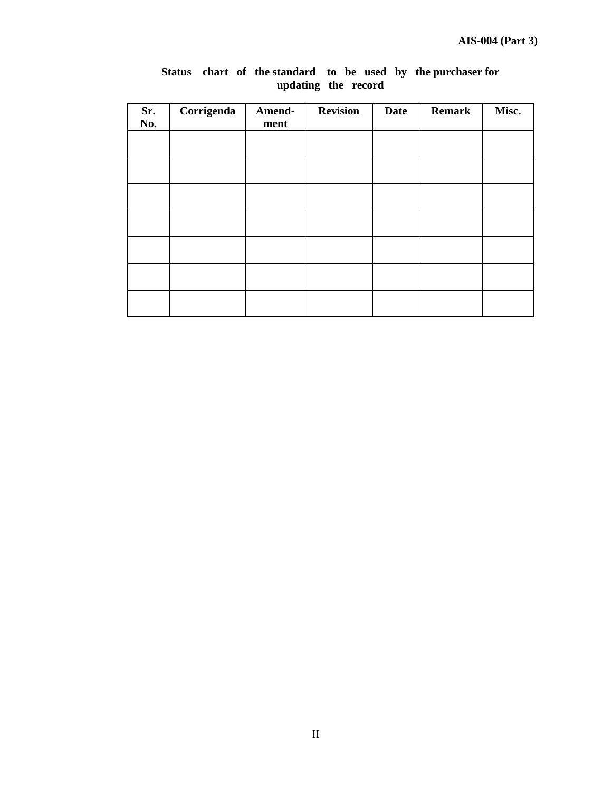| Sr.<br>No. | Corrigenda | Amend-<br>ment | <b>Revision</b> | <b>Date</b> | <b>Remark</b> | Misc. |
|------------|------------|----------------|-----------------|-------------|---------------|-------|
|            |            |                |                 |             |               |       |
|            |            |                |                 |             |               |       |
|            |            |                |                 |             |               |       |
|            |            |                |                 |             |               |       |
|            |            |                |                 |             |               |       |
|            |            |                |                 |             |               |       |
|            |            |                |                 |             |               |       |

### **Status chart of the standard to be used by the purchaser for updating the record**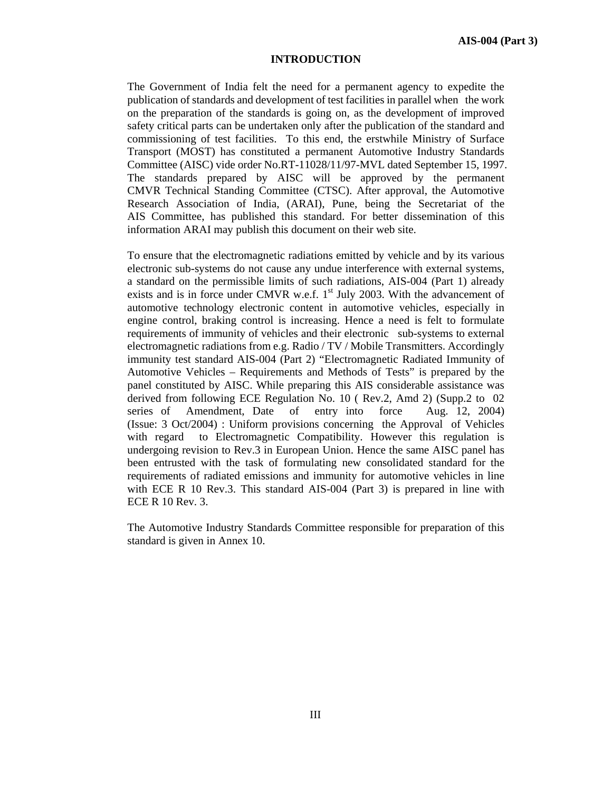#### **INTRODUCTION**

The Government of India felt the need for a permanent agency to expedite the publication of standards and development of test facilities in parallel when the work on the preparation of the standards is going on, as the development of improved safety critical parts can be undertaken only after the publication of the standard and commissioning of test facilities. To this end, the erstwhile Ministry of Surface Transport (MOST) has constituted a permanent Automotive Industry Standards Committee (AISC) vide order No.RT-11028/11/97-MVL dated September 15, 1997. The standards prepared by AISC will be approved by the permanent CMVR Technical Standing Committee (CTSC). After approval, the Automotive Research Association of India, (ARAI), Pune, being the Secretariat of the AIS Committee, has published this standard. For better dissemination of this information ARAI may publish this document on their web site.

To ensure that the electromagnetic radiations emitted by vehicle and by its various electronic sub-systems do not cause any undue interference with external systems, a standard on the permissible limits of such radiations, AIS-004 (Part 1) already exists and is in force under CMVR w.e.f.  $1<sup>st</sup>$  July 2003. With the advancement of automotive technology electronic content in automotive vehicles, especially in engine control, braking control is increasing. Hence a need is felt to formulate requirements of immunity of vehicles and their electronic sub-systems to external electromagnetic radiations from e.g. Radio / TV / Mobile Transmitters. Accordingly immunity test standard AIS-004 (Part 2) "Electromagnetic Radiated Immunity of Automotive Vehicles – Requirements and Methods of Tests" is prepared by the panel constituted by AISC. While preparing this AIS considerable assistance was derived from following ECE Regulation No. 10 ( Rev.2, Amd 2) (Supp.2 to 02 series of Amendment, Date of entry into force Aug. 12, 2004) (Issue: 3 Oct/2004) : Uniform provisions concerning the Approval of Vehicles with regard to Electromagnetic Compatibility. However this regulation is undergoing revision to Rev.3 in European Union. Hence the same AISC panel has been entrusted with the task of formulating new consolidated standard for the requirements of radiated emissions and immunity for automotive vehicles in line with ECE R 10 Rev.3. This standard AIS-004 (Part 3) is prepared in line with ECE R 10 Rev. 3.

The Automotive Industry Standards Committee responsible for preparation of this standard is given in Annex 10.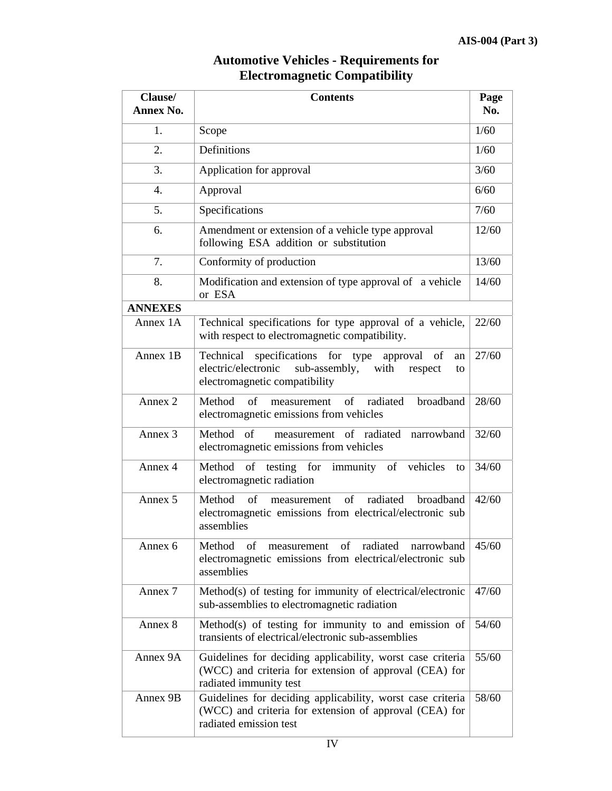# **Automotive Vehicles - Requirements for Electromagnetic Compatibility**

| Clause/<br><b>Annex No.</b> | <b>Contents</b>                                                                                                                                             | Page  |
|-----------------------------|-------------------------------------------------------------------------------------------------------------------------------------------------------------|-------|
|                             |                                                                                                                                                             | No.   |
| 1.                          | Scope                                                                                                                                                       | 1/60  |
| 2.                          | Definitions                                                                                                                                                 | 1/60  |
| 3.                          | Application for approval                                                                                                                                    | 3/60  |
| $\overline{4}$ .            | Approval                                                                                                                                                    | 6/60  |
| 5.                          | Specifications                                                                                                                                              | 7/60  |
| 6.                          | Amendment or extension of a vehicle type approval<br>following ESA addition or substitution                                                                 | 12/60 |
| 7.                          | Conformity of production                                                                                                                                    | 13/60 |
| 8.                          | Modification and extension of type approval of a vehicle<br>or ESA                                                                                          | 14/60 |
| <b>ANNEXES</b>              |                                                                                                                                                             |       |
| Annex 1A                    | Technical specifications for type approval of a vehicle,<br>with respect to electromagnetic compatibility.                                                  | 22/60 |
| Annex 1B                    | Technical specifications for type<br>of<br>approval<br>an<br>electric/electronic<br>sub-assembly,<br>with<br>respect<br>to<br>electromagnetic compatibility | 27/60 |
| Annex <sub>2</sub>          | Method<br>of<br>$of$ <sup><math>\overline{ }</math></sup><br>broadband<br>radiated<br>measurement<br>electromagnetic emissions from vehicles                | 28/60 |
| Annex <sub>3</sub>          | measurement of radiated narrowband<br>Method of<br>electromagnetic emissions from vehicles                                                                  | 32/60 |
| Annex 4                     | of testing for immunity of vehicles<br>Method<br>to<br>electromagnetic radiation                                                                            | 34/60 |
| Annex 5                     | radiated<br>of<br>of<br>broadband<br>Method<br>measurement<br>electromagnetic emissions from electrical/electronic sub<br>assemblies                        | 42/60 |
| Annex 6                     | measurement of radiated<br>Method<br>narrowband<br>of<br>electromagnetic emissions from electrical/electronic sub<br>assemblies                             | 45/60 |
| Annex 7                     | Method(s) of testing for immunity of electrical/electronic<br>sub-assemblies to electromagnetic radiation                                                   | 47/60 |
| Annex 8                     | Method(s) of testing for immunity to and emission of<br>transients of electrical/electronic sub-assemblies                                                  | 54/60 |
| Annex 9A                    | Guidelines for deciding applicability, worst case criteria<br>(WCC) and criteria for extension of approval (CEA) for<br>radiated immunity test              | 55/60 |
| Annex 9B                    | Guidelines for deciding applicability, worst case criteria<br>(WCC) and criteria for extension of approval (CEA) for<br>radiated emission test              | 58/60 |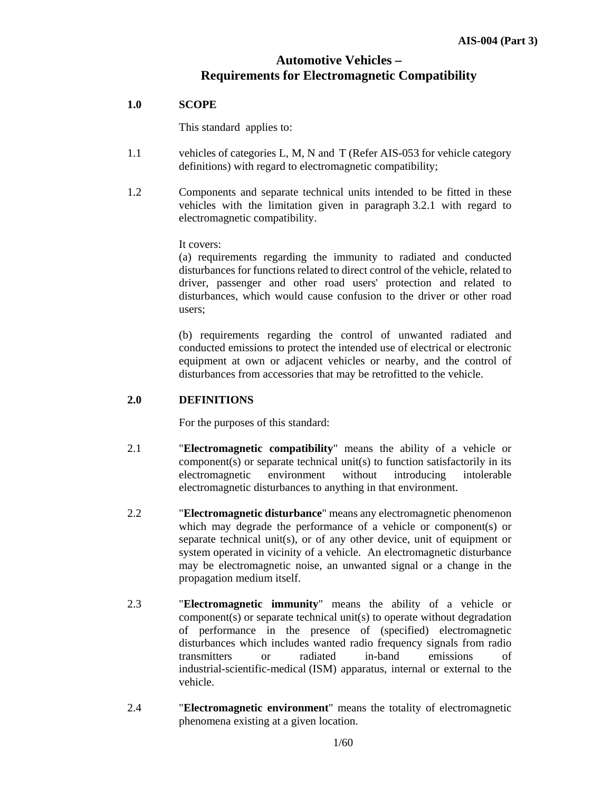# **Automotive Vehicles – Requirements for Electromagnetic Compatibility**

## **1.0 SCOPE**

This standard applies to:

- 1.1 vehicles of categories L, M, N and T (Refer AIS-053 for vehicle category definitions) with regard to electromagnetic compatibility;
- 1.2 Components and separate technical units intended to be fitted in these vehicles with the limitation given in paragraph 3.2.1 with regard to electromagnetic compatibility.

It covers:

 (a) requirements regarding the immunity to radiated and conducted disturbances for functions related to direct control of the vehicle, related to driver, passenger and other road users' protection and related to disturbances, which would cause confusion to the driver or other road users;

 (b) requirements regarding the control of unwanted radiated and conducted emissions to protect the intended use of electrical or electronic equipment at own or adjacent vehicles or nearby, and the control of disturbances from accessories that may be retrofitted to the vehicle.

### **2.0 DEFINITIONS**

For the purposes of this standard:

- 2.1 "**Electromagnetic compatibility**" means the ability of a vehicle or component(s) or separate technical unit(s) to function satisfactorily in its electromagnetic environment without introducing intolerable electromagnetic disturbances to anything in that environment.
- 2.2 "**Electromagnetic disturbance**" means any electromagnetic phenomenon which may degrade the performance of a vehicle or component(s) or separate technical unit(s), or of any other device, unit of equipment or system operated in vicinity of a vehicle. An electromagnetic disturbance may be electromagnetic noise, an unwanted signal or a change in the propagation medium itself.
- 2.3 "**Electromagnetic immunity**" means the ability of a vehicle or component(s) or separate technical unit(s) to operate without degradation of performance in the presence of (specified) electromagnetic disturbances which includes wanted radio frequency signals from radio transmitters or radiated in-band emissions of industrial-scientific-medical (ISM) apparatus, internal or external to the vehicle.
- 2.4 "**Electromagnetic environment**" means the totality of electromagnetic phenomena existing at a given location.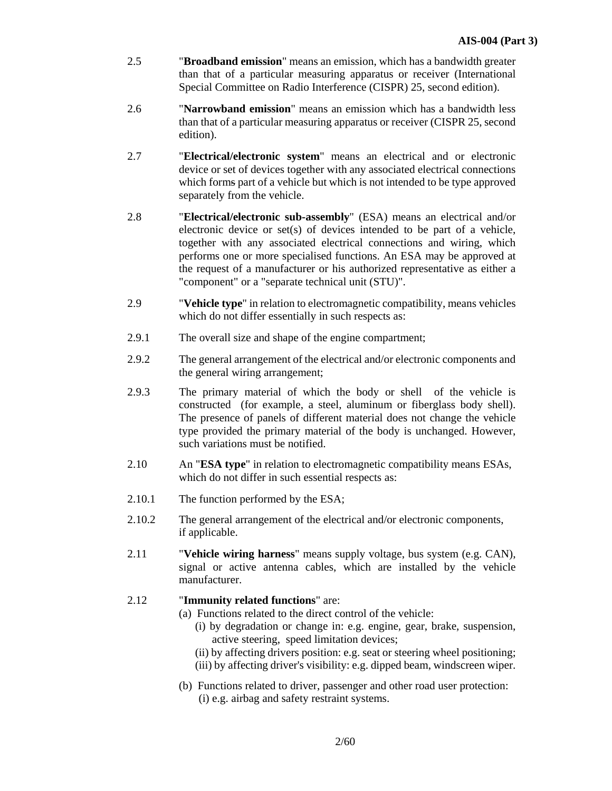- 2.5 "**Broadband emission**" means an emission, which has a bandwidth greater than that of a particular measuring apparatus or receiver (International Special Committee on Radio Interference (CISPR) 25, second edition).
- 2.6 "**Narrowband emission**" means an emission which has a bandwidth less than that of a particular measuring apparatus or receiver (CISPR 25, second edition).
- 2.7 "**Electrical/electronic system**" means an electrical and or electronic device or set of devices together with any associated electrical connections which forms part of a vehicle but which is not intended to be type approved separately from the vehicle.
- 2.8 "**Electrical/electronic sub-assembly**" (ESA) means an electrical and/or electronic device or set(s) of devices intended to be part of a vehicle, together with any associated electrical connections and wiring, which performs one or more specialised functions. An ESA may be approved at the request of a manufacturer or his authorized representative as either a "component" or a "separate technical unit (STU)".
- 2.9 "**Vehicle type**" in relation to electromagnetic compatibility, means vehicles which do not differ essentially in such respects as:
- 2.9.1 The overall size and shape of the engine compartment;
- 2.9.2 The general arrangement of the electrical and/or electronic components and the general wiring arrangement;
- 2.9.3 The primary material of which the body or shell of the vehicle is constructed (for example, a steel, aluminum or fiberglass body shell). The presence of panels of different material does not change the vehicle type provided the primary material of the body is unchanged. However, such variations must be notified.
- 2.10 An "**ESA type**" in relation to electromagnetic compatibility means ESAs, which do not differ in such essential respects as:
- 2.10.1 The function performed by the ESA;
- 2.10.2 The general arrangement of the electrical and/or electronic components, if applicable.
- 2.11 "**Vehicle wiring harness**" means supply voltage, bus system (e.g. CAN), signal or active antenna cables, which are installed by the vehicle manufacturer.

# 2.12 "**Immunity related functions**" are:

- (a) Functions related to the direct control of the vehicle:
	- (i) by degradation or change in: e.g. engine, gear, brake, suspension, active steering, speed limitation devices;
	- (ii) by affecting drivers position: e.g. seat or steering wheel positioning; (iii) by affecting driver's visibility: e.g. dipped beam, windscreen wiper.
- (b) Functions related to driver, passenger and other road user protection: (i) e.g. airbag and safety restraint systems.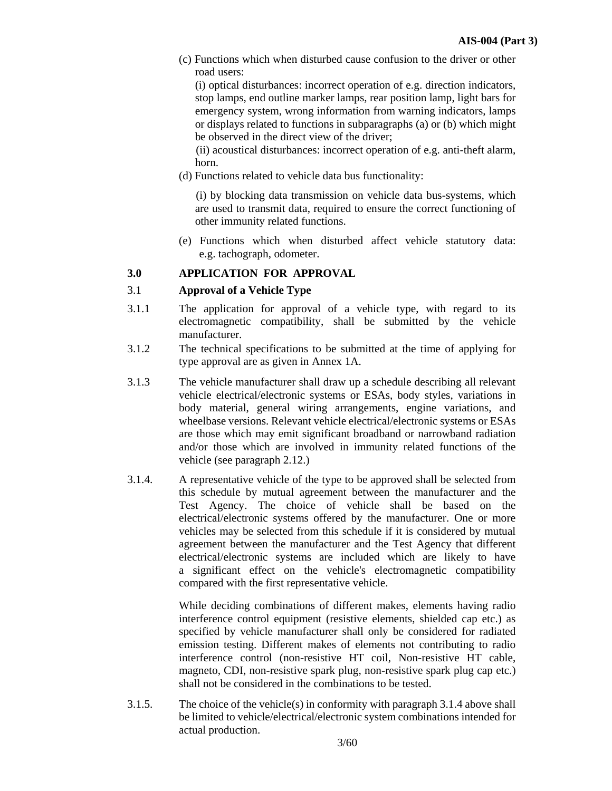(c) Functions which when disturbed cause confusion to the driver or other road users:

 (i) optical disturbances: incorrect operation of e.g. direction indicators, stop lamps, end outline marker lamps, rear position lamp, light bars for emergency system, wrong information from warning indicators, lamps or displays related to functions in subparagraphs (a) or (b) which might be observed in the direct view of the driver;

 (ii) acoustical disturbances: incorrect operation of e.g. anti-theft alarm, horn.

(d) Functions related to vehicle data bus functionality:

 (i) by blocking data transmission on vehicle data bus-systems, which are used to transmit data, required to ensure the correct functioning of other immunity related functions.

 (e) Functions which when disturbed affect vehicle statutory data: e.g. tachograph, odometer.

### **3.0 APPLICATION FOR APPROVAL**

### 3.1 **Approval of a Vehicle Type**

- 3.1.1 The application for approval of a vehicle type, with regard to its electromagnetic compatibility, shall be submitted by the vehicle manufacturer.
- 3.1.2 The technical specifications to be submitted at the time of applying for type approval are as given in Annex 1A.
- 3.1.3 The vehicle manufacturer shall draw up a schedule describing all relevant vehicle electrical/electronic systems or ESAs, body styles, variations in body material, general wiring arrangements, engine variations, and wheelbase versions. Relevant vehicle electrical/electronic systems or ESAs are those which may emit significant broadband or narrowband radiation and/or those which are involved in immunity related functions of the vehicle (see paragraph 2.12.)
- 3.1.4. A representative vehicle of the type to be approved shall be selected from this schedule by mutual agreement between the manufacturer and the Test Agency. The choice of vehicle shall be based on the electrical/electronic systems offered by the manufacturer. One or more vehicles may be selected from this schedule if it is considered by mutual agreement between the manufacturer and the Test Agency that different electrical/electronic systems are included which are likely to have a significant effect on the vehicle's electromagnetic compatibility compared with the first representative vehicle.

 While deciding combinations of different makes, elements having radio interference control equipment (resistive elements, shielded cap etc.) as specified by vehicle manufacturer shall only be considered for radiated emission testing. Different makes of elements not contributing to radio interference control (non-resistive HT coil, Non-resistive HT cable, magneto, CDI, non-resistive spark plug, non-resistive spark plug cap etc.) shall not be considered in the combinations to be tested.

3.1.5. The choice of the vehicle(s) in conformity with paragraph 3.1.4 above shall be limited to vehicle/electrical/electronic system combinations intended for actual production.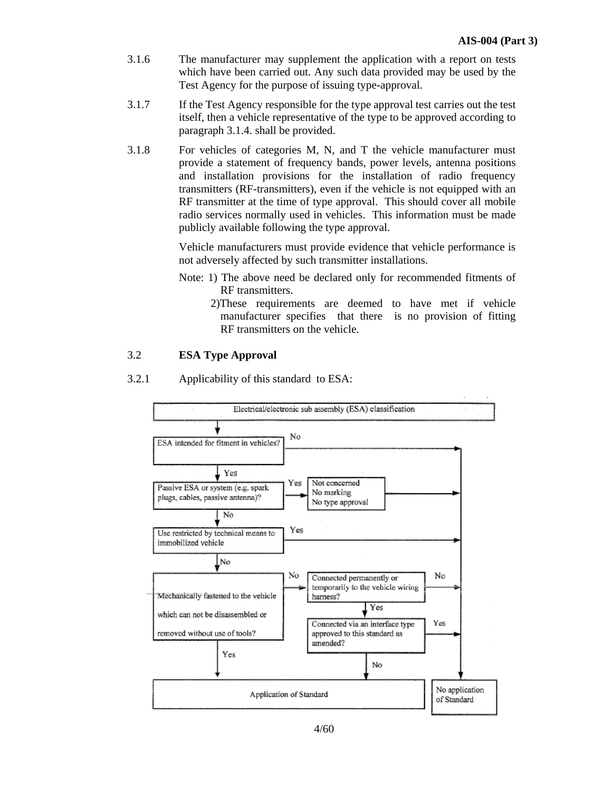- 3.1.6 The manufacturer may supplement the application with a report on tests which have been carried out. Any such data provided may be used by the Test Agency for the purpose of issuing type-approval.
- 3.1.7 If the Test Agency responsible for the type approval test carries out the test itself, then a vehicle representative of the type to be approved according to paragraph 3.1.4. shall be provided.
- 3.1.8 For vehicles of categories M, N, and T the vehicle manufacturer must provide a statement of frequency bands, power levels, antenna positions and installation provisions for the installation of radio frequency transmitters (RF-transmitters), even if the vehicle is not equipped with an RF transmitter at the time of type approval. This should cover all mobile radio services normally used in vehicles. This information must be made publicly available following the type approval.

 Vehicle manufacturers must provide evidence that vehicle performance is not adversely affected by such transmitter installations.

- Note: 1) The above need be declared only for recommended fitments of RF transmitters.
	- 2)These requirements are deemed to have met if vehicle manufacturer specifies that there is no provision of fitting RF transmitters on the vehicle.

#### 3.2 **ESA Type Approval**



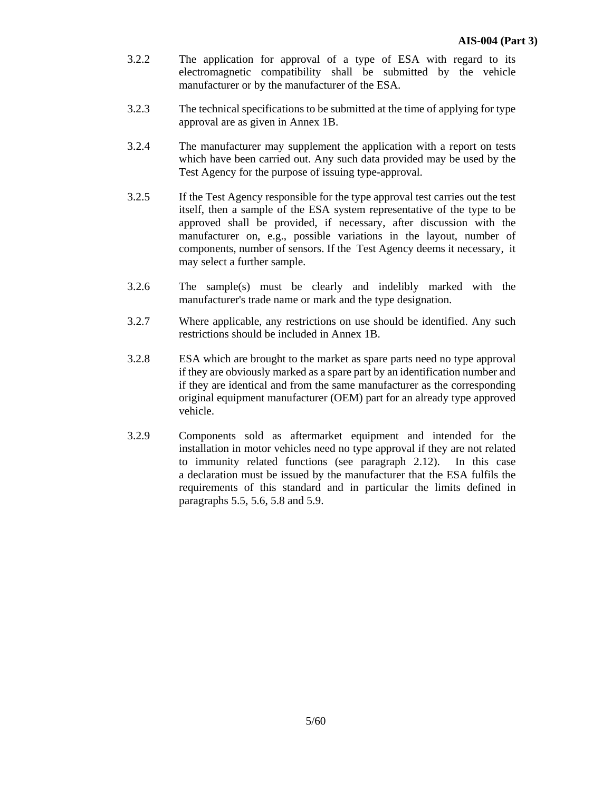- 3.2.2 The application for approval of a type of ESA with regard to its electromagnetic compatibility shall be submitted by the vehicle manufacturer or by the manufacturer of the ESA.
- 3.2.3 The technical specifications to be submitted at the time of applying for type approval are as given in Annex 1B.
- 3.2.4 The manufacturer may supplement the application with a report on tests which have been carried out. Any such data provided may be used by the Test Agency for the purpose of issuing type-approval.
- 3.2.5 If the Test Agency responsible for the type approval test carries out the test itself, then a sample of the ESA system representative of the type to be approved shall be provided, if necessary, after discussion with the manufacturer on, e.g., possible variations in the layout, number of components, number of sensors. If the Test Agency deems it necessary, it may select a further sample.
- 3.2.6 The sample(s) must be clearly and indelibly marked with the manufacturer's trade name or mark and the type designation.
- 3.2.7 Where applicable, any restrictions on use should be identified. Any such restrictions should be included in Annex 1B.
- 3.2.8 ESA which are brought to the market as spare parts need no type approval if they are obviously marked as a spare part by an identification number and if they are identical and from the same manufacturer as the corresponding original equipment manufacturer (OEM) part for an already type approved vehicle.
- 3.2.9 Components sold as aftermarket equipment and intended for the installation in motor vehicles need no type approval if they are not related to immunity related functions (see paragraph 2.12). In this case a declaration must be issued by the manufacturer that the ESA fulfils the requirements of this standard and in particular the limits defined in paragraphs 5.5, 5.6, 5.8 and 5.9.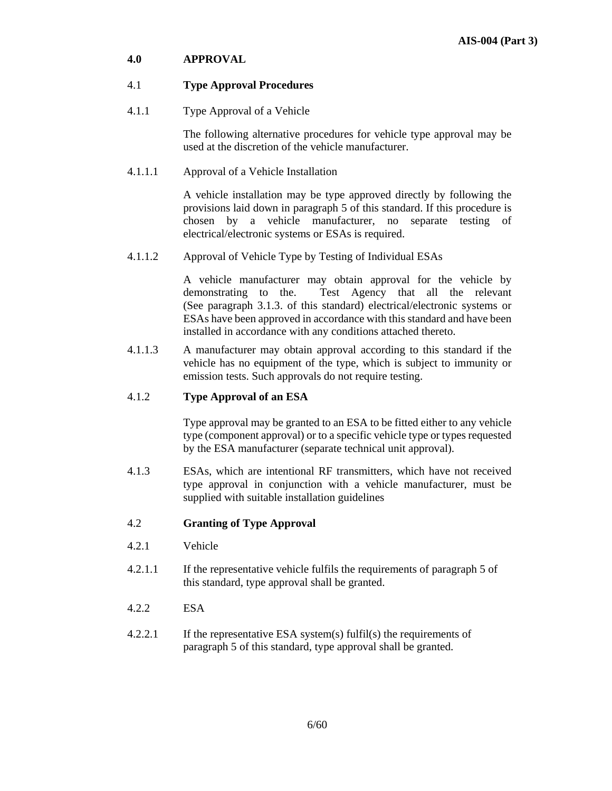### **4.0 APPROVAL**

### 4.1 **Type Approval Procedures**

4.1.1 Type Approval of a Vehicle

 The following alternative procedures for vehicle type approval may be used at the discretion of the vehicle manufacturer.

### 4.1.1.1 Approval of a Vehicle Installation

 A vehicle installation may be type approved directly by following the provisions laid down in paragraph 5 of this standard. If this procedure is chosen by a vehicle manufacturer, no separate testing of electrical/electronic systems or ESAs is required.

4.1.1.2 Approval of Vehicle Type by Testing of Individual ESAs

A vehicle manufacturer may obtain approval for the vehicle by demonstrating to the. Test Agency that all the relevant (See paragraph 3.1.3. of this standard) electrical/electronic systems or ESAs have been approved in accordance with this standard and have been installed in accordance with any conditions attached thereto.

4.1.1.3 A manufacturer may obtain approval according to this standard if the vehicle has no equipment of the type, which is subject to immunity or emission tests. Such approvals do not require testing.

### 4.1.2 **Type Approval of an ESA**

 Type approval may be granted to an ESA to be fitted either to any vehicle type (component approval) or to a specific vehicle type or types requested by the ESA manufacturer (separate technical unit approval).

4.1.3 ESAs, which are intentional RF transmitters, which have not received type approval in conjunction with a vehicle manufacturer, must be supplied with suitable installation guidelines

# 4.2 **Granting of Type Approval**

- 4.2.1 Vehicle
- 4.2.1.1 If the representative vehicle fulfils the requirements of paragraph 5 of this standard, type approval shall be granted.
- 4.2.2 ESA
- 4.2.2.1 If the representative ESA system(s) fulfil(s) the requirements of paragraph 5 of this standard, type approval shall be granted.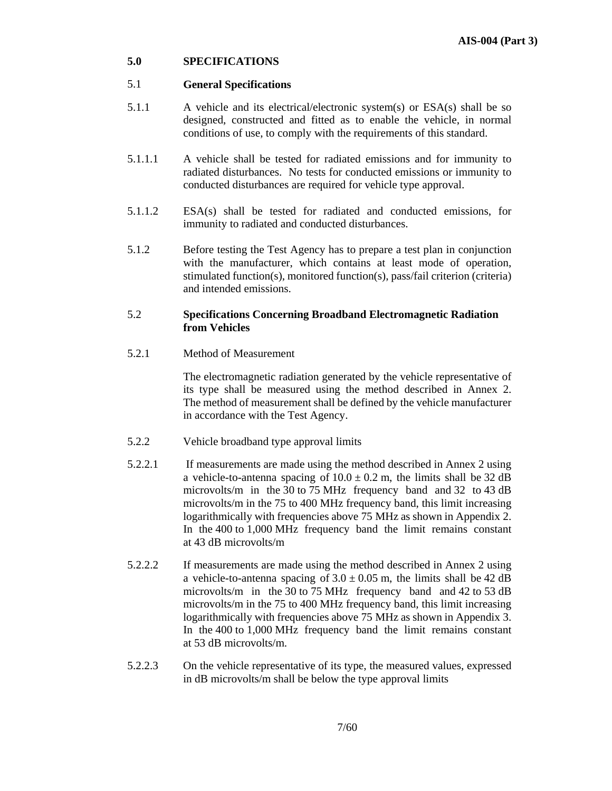### **5.0 SPECIFICATIONS**

### 5.1 **General Specifications**

- 5.1.1 A vehicle and its electrical/electronic system(s) or ESA(s) shall be so designed, constructed and fitted as to enable the vehicle, in normal conditions of use, to comply with the requirements of this standard.
- 5.1.1.1 A vehicle shall be tested for radiated emissions and for immunity to radiated disturbances. No tests for conducted emissions or immunity to conducted disturbances are required for vehicle type approval.
- 5.1.1.2 ESA(s) shall be tested for radiated and conducted emissions, for immunity to radiated and conducted disturbances.
- 5.1.2 Before testing the Test Agency has to prepare a test plan in conjunction with the manufacturer, which contains at least mode of operation, stimulated function(s), monitored function(s), pass/fail criterion (criteria) and intended emissions.

### 5.2 **Specifications Concerning Broadband Electromagnetic Radiation from Vehicles**

5.2.1 Method of Measurement

 The electromagnetic radiation generated by the vehicle representative of its type shall be measured using the method described in Annex 2. The method of measurement shall be defined by the vehicle manufacturer in accordance with the Test Agency.

- 5.2.2 Vehicle broadband type approval limits
- 5.2.2.1 If measurements are made using the method described in Annex 2 using a vehicle-to-antenna spacing of  $10.0 \pm 0.2$  m, the limits shall be 32 dB microvolts/m in the 30 to 75 MHz frequency band and 32 to 43 dB microvolts/m in the 75 to 400 MHz frequency band, this limit increasing logarithmically with frequencies above 75 MHz as shown in Appendix 2. In the 400 to 1,000 MHz frequency band the limit remains constant at 43 dB microvolts/m
- 5.2.2.2 If measurements are made using the method described in Annex 2 using a vehicle-to-antenna spacing of  $3.0 \pm 0.05$  m, the limits shall be 42 dB microvolts/m in the 30 to 75 MHz frequency band and 42 to 53 dB microvolts/m in the 75 to 400 MHz frequency band, this limit increasing logarithmically with frequencies above 75 MHz as shown in Appendix 3. In the 400 to 1,000 MHz frequency band the limit remains constant at 53 dB microvolts/m.
- 5.2.2.3 On the vehicle representative of its type, the measured values, expressed in dB microvolts/m shall be below the type approval limits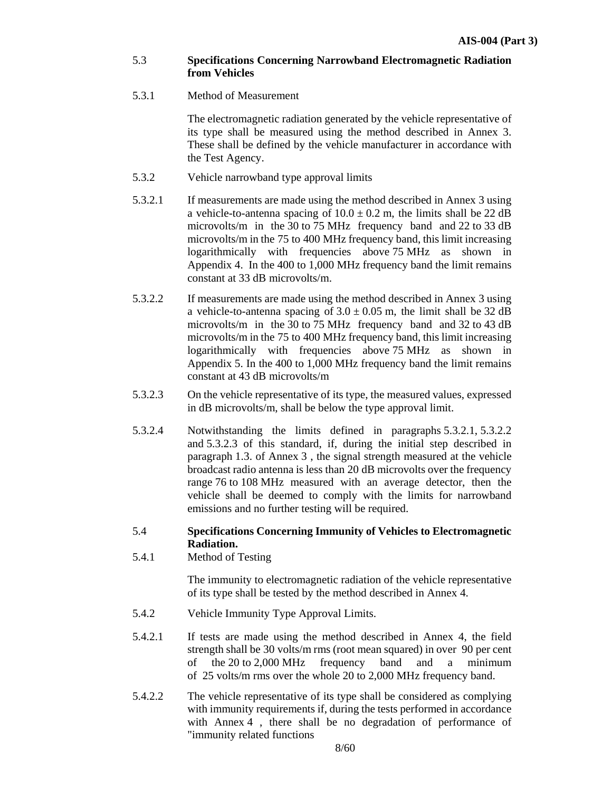### 5.3 **Specifications Concerning Narrowband Electromagnetic Radiation from Vehicles**

### 5.3.1 Method of Measurement

 The electromagnetic radiation generated by the vehicle representative of its type shall be measured using the method described in Annex 3. These shall be defined by the vehicle manufacturer in accordance with the Test Agency.

- 5.3.2 Vehicle narrowband type approval limits
- 5.3.2.1 If measurements are made using the method described in Annex 3 using a vehicle-to-antenna spacing of  $10.0 \pm 0.2$  m, the limits shall be 22 dB microvolts/m in the 30 to 75 MHz frequency band and 22 to 33 dB microvolts/m in the 75 to 400 MHz frequency band, this limit increasing logarithmically with frequencies above 75 MHz as shown in Appendix 4. In the 400 to 1,000 MHz frequency band the limit remains constant at 33 dB microvolts/m.
- 5.3.2.2 If measurements are made using the method described in Annex 3 using a vehicle-to-antenna spacing of  $3.0 \pm 0.05$  m, the limit shall be 32 dB microvolts/m in the 30 to 75 MHz frequency band and 32 to 43 dB microvolts/m in the 75 to 400 MHz frequency band, this limit increasing logarithmically with frequencies above 75 MHz as shown in Appendix 5. In the 400 to 1,000 MHz frequency band the limit remains constant at 43 dB microvolts/m
- 5.3.2.3 On the vehicle representative of its type, the measured values, expressed in dB microvolts/m, shall be below the type approval limit.
- 5.3.2.4 Notwithstanding the limits defined in paragraphs 5.3.2.1, 5.3.2.2 and 5.3.2.3 of this standard, if, during the initial step described in paragraph 1.3. of Annex 3 , the signal strength measured at the vehicle broadcast radio antenna is less than 20 dB microvolts over the frequency range 76 to 108 MHz measured with an average detector, then the vehicle shall be deemed to comply with the limits for narrowband emissions and no further testing will be required.

### 5.4 **Specifications Concerning Immunity of Vehicles to Electromagnetic Radiation.**

5.4.1 Method of Testing

 The immunity to electromagnetic radiation of the vehicle representative of its type shall be tested by the method described in Annex 4.

- 5.4.2 Vehicle Immunity Type Approval Limits.
- 5.4.2.1 If tests are made using the method described in Annex 4, the field strength shall be 30 volts/m rms (root mean squared) in over 90 per cent of the 20 to 2,000 MHz frequency band and a minimum of 25 volts/m rms over the whole 20 to 2,000 MHz frequency band.
- 5.4.2.2 The vehicle representative of its type shall be considered as complying with immunity requirements if, during the tests performed in accordance with Annex 4, there shall be no degradation of performance of "immunity related functions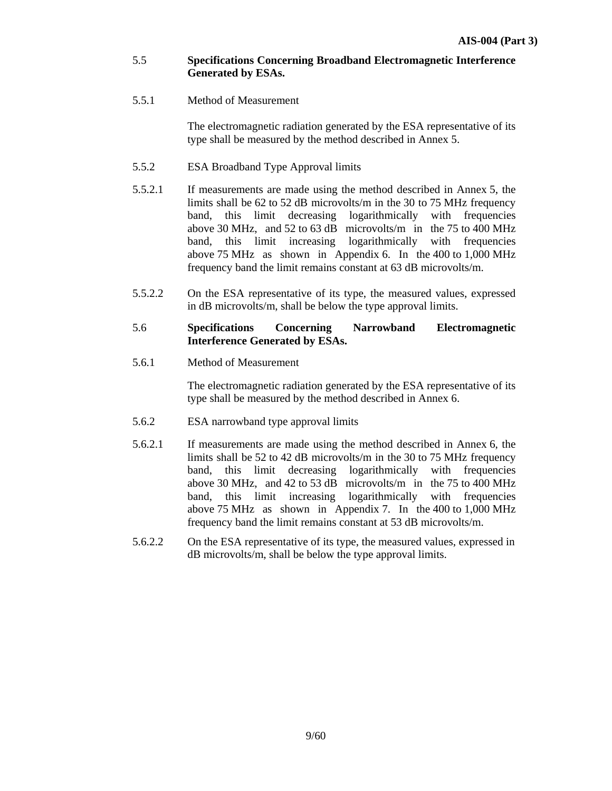### 5.5 **Specifications Concerning Broadband Electromagnetic Interference Generated by ESAs.**

5.5.1 Method of Measurement

 The electromagnetic radiation generated by the ESA representative of its type shall be measured by the method described in Annex 5.

- 5.5.2 ESA Broadband Type Approval limits
- 5.5.2.1 If measurements are made using the method described in Annex 5, the limits shall be 62 to 52 dB microvolts/m in the 30 to 75 MHz frequency band, this limit decreasing logarithmically with frequencies above 30 MHz, and 52 to 63 dB microvolts/m in the 75 to 400 MHz band, this limit increasing logarithmically with frequencies above 75 MHz as shown in Appendix 6. In the 400 to 1,000 MHz frequency band the limit remains constant at 63 dB microvolts/m.
- 5.5.2.2 On the ESA representative of its type, the measured values, expressed in dB microvolts/m, shall be below the type approval limits.

### 5.6 **Specifications Concerning Narrowband Electromagnetic Interference Generated by ESAs.**

5.6.1 Method of Measurement

 The electromagnetic radiation generated by the ESA representative of its type shall be measured by the method described in Annex 6.

- 5.6.2 ESA narrowband type approval limits
- 5.6.2.1 If measurements are made using the method described in Annex 6, the limits shall be 52 to 42 dB microvolts/m in the 30 to 75 MHz frequency band, this limit decreasing logarithmically with frequencies above 30 MHz, and 42 to 53 dB microvolts/m in the 75 to 400 MHz band, this limit increasing logarithmically with frequencies above 75 MHz as shown in Appendix 7. In the 400 to 1,000 MHz frequency band the limit remains constant at 53 dB microvolts/m.
- 5.6.2.2 On the ESA representative of its type, the measured values, expressed in dB microvolts/m, shall be below the type approval limits.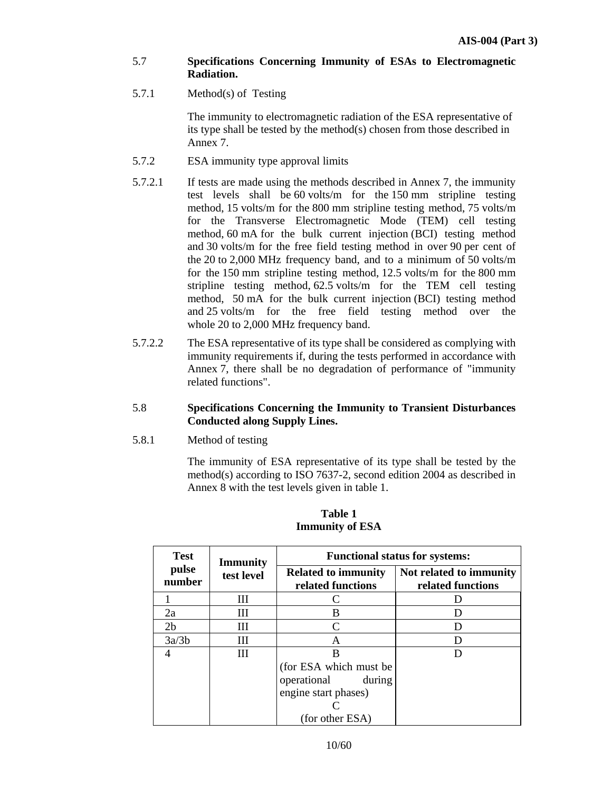- 5.7 **Specifications Concerning Immunity of ESAs to Electromagnetic Radiation.**
- 5.7.1 Method(s) of Testing

 The immunity to electromagnetic radiation of the ESA representative of its type shall be tested by the method(s) chosen from those described in Annex 7.

- 5.7.2 ESA immunity type approval limits
- 5.7.2.1 If tests are made using the methods described in Annex 7, the immunity test levels shall be 60 volts/m for the 150 mm stripline testing method, 15 volts/m for the 800 mm stripline testing method, 75 volts/m for the Transverse Electromagnetic Mode (TEM) cell testing method, 60 mA for the bulk current injection (BCI) testing method and 30 volts/m for the free field testing method in over 90 per cent of the 20 to 2,000 MHz frequency band, and to a minimum of 50 volts/m for the 150 mm stripline testing method, 12.5 volts/m for the 800 mm stripline testing method, 62.5 volts/m for the TEM cell testing method, 50 mA for the bulk current injection (BCI) testing method and 25 volts/m for the free field testing method over the whole 20 to 2,000 MHz frequency band.
- 5.7.2.2 The ESA representative of its type shall be considered as complying with immunity requirements if, during the tests performed in accordance with Annex 7, there shall be no degradation of performance of "immunity related functions".
- 5.8 **Specifications Concerning the Immunity to Transient Disturbances Conducted along Supply Lines.**
- 5.8.1 Method of testing

 The immunity of ESA representative of its type shall be tested by the method(s) according to ISO 7637-2, second edition 2004 as described in Annex 8 with the test levels given in table 1.

| <b>Test</b>     | <b>Immunity</b><br>test level | <b>Functional status for systems:</b>           |                                              |  |
|-----------------|-------------------------------|-------------------------------------------------|----------------------------------------------|--|
| pulse<br>number |                               | <b>Related to immunity</b><br>related functions | Not related to immunity<br>related functions |  |
|                 | Ш                             |                                                 |                                              |  |
| 2a              | Ш                             | В                                               |                                              |  |
| 2 <sub>b</sub>  | Ш                             |                                                 |                                              |  |
| 3a/3b           | Ш                             | A                                               |                                              |  |
|                 | Ш                             | В                                               |                                              |  |
|                 |                               | (for ESA which must be                          |                                              |  |
|                 |                               | operational<br>during                           |                                              |  |
|                 |                               | engine start phases)                            |                                              |  |
|                 |                               |                                                 |                                              |  |
|                 |                               | (for other ESA)                                 |                                              |  |

**Table 1 Immunity of ESA**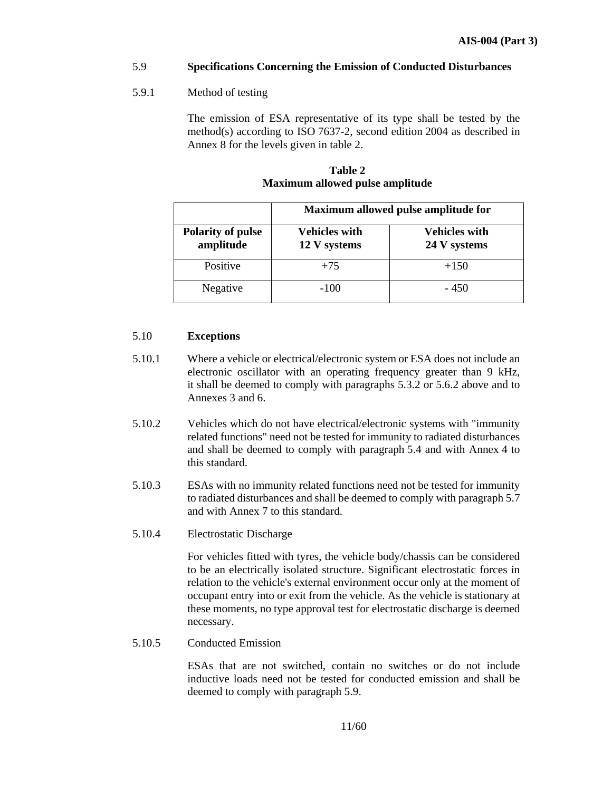### 5.9 **Specifications Concerning the Emission of Conducted Disturbances**

### 5.9.1 Method of testing

 The emission of ESA representative of its type shall be tested by the method(s) according to ISO 7637-2, second edition 2004 as described in Annex 8 for the levels given in table 2.

|                                       | Maximum allowed pulse amplitude for  |                                      |  |
|---------------------------------------|--------------------------------------|--------------------------------------|--|
| <b>Polarity of pulse</b><br>amplitude | <b>Vehicles with</b><br>12 V systems | <b>Vehicles with</b><br>24 V systems |  |
| Positive                              | $+75$                                | $+150$                               |  |
| Negative                              | $-100$                               | $-450$                               |  |

### **Table 2 Maximum allowed pulse amplitude**

### 5.10 **Exceptions**

- 5.10.1 Where a vehicle or electrical/electronic system or ESA does not include an electronic oscillator with an operating frequency greater than 9 kHz, it shall be deemed to comply with paragraphs 5.3.2 or 5.6.2 above and to Annexes 3 and 6.
- 5.10.2 Vehicles which do not have electrical/electronic systems with "immunity related functions" need not be tested for immunity to radiated disturbances and shall be deemed to comply with paragraph 5.4 and with Annex 4 to this standard.
- 5.10.3 ESAs with no immunity related functions need not be tested for immunity to radiated disturbances and shall be deemed to comply with paragraph 5.7 and with Annex 7 to this standard.

# 5.10.4 Electrostatic Discharge

 For vehicles fitted with tyres, the vehicle body/chassis can be considered to be an electrically isolated structure. Significant electrostatic forces in relation to the vehicle's external environment occur only at the moment of occupant entry into or exit from the vehicle. As the vehicle is stationary at these moments, no type approval test for electrostatic discharge is deemed necessary.

5.10.5 Conducted Emission

 ESAs that are not switched, contain no switches or do not include inductive loads need not be tested for conducted emission and shall be deemed to comply with paragraph 5.9.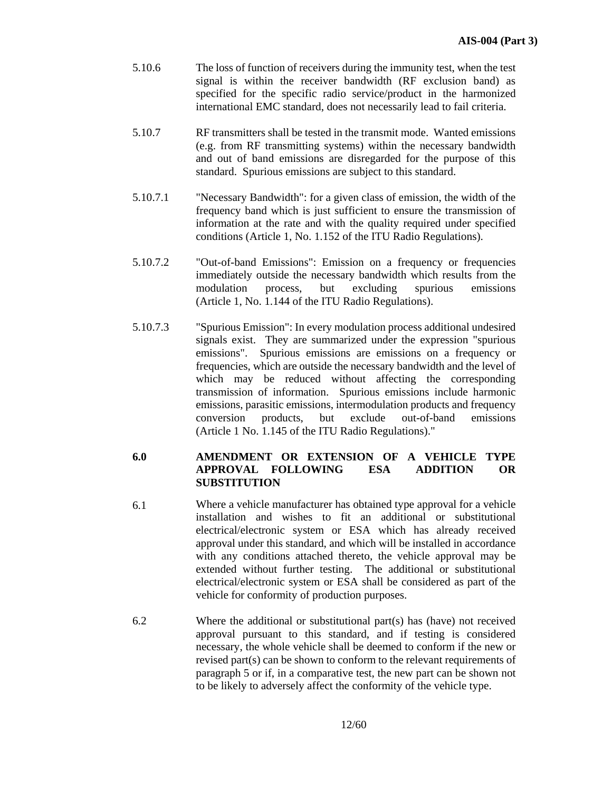- 5.10.6 The loss of function of receivers during the immunity test, when the test signal is within the receiver bandwidth (RF exclusion band) as specified for the specific radio service/product in the harmonized international EMC standard, does not necessarily lead to fail criteria.
- 5.10.7 RF transmitters shall be tested in the transmit mode. Wanted emissions (e.g. from RF transmitting systems) within the necessary bandwidth and out of band emissions are disregarded for the purpose of this standard. Spurious emissions are subject to this standard.
- 5.10.7.1 "Necessary Bandwidth": for a given class of emission, the width of the frequency band which is just sufficient to ensure the transmission of information at the rate and with the quality required under specified conditions (Article 1, No. 1.152 of the ITU Radio Regulations).
- 5.10.7.2 "Out-of-band Emissions": Emission on a frequency or frequencies immediately outside the necessary bandwidth which results from the modulation process, but excluding spurious emissions (Article 1, No. 1.144 of the ITU Radio Regulations).
- 5.10.7.3 "Spurious Emission": In every modulation process additional undesired signals exist. They are summarized under the expression "spurious emissions". Spurious emissions are emissions on a frequency or frequencies, which are outside the necessary bandwidth and the level of which may be reduced without affecting the corresponding transmission of information. Spurious emissions include harmonic emissions, parasitic emissions, intermodulation products and frequency conversion products, but exclude out-of-band emissions (Article 1 No. 1.145 of the ITU Radio Regulations)."

#### **6.0 AMENDMENT OR EXTENSION OF A VEHICLE TYPE APPROVAL FOLLOWING ESA ADDITION OR SUBSTITUTION**

- 6.1 Where a vehicle manufacturer has obtained type approval for a vehicle installation and wishes to fit an additional or substitutional electrical/electronic system or ESA which has already received approval under this standard, and which will be installed in accordance with any conditions attached thereto, the vehicle approval may be extended without further testing. The additional or substitutional electrical/electronic system or ESA shall be considered as part of the vehicle for conformity of production purposes.
- 6.2 Where the additional or substitutional part(s) has (have) not received approval pursuant to this standard, and if testing is considered necessary, the whole vehicle shall be deemed to conform if the new or revised part(s) can be shown to conform to the relevant requirements of paragraph 5 or if, in a comparative test, the new part can be shown not to be likely to adversely affect the conformity of the vehicle type.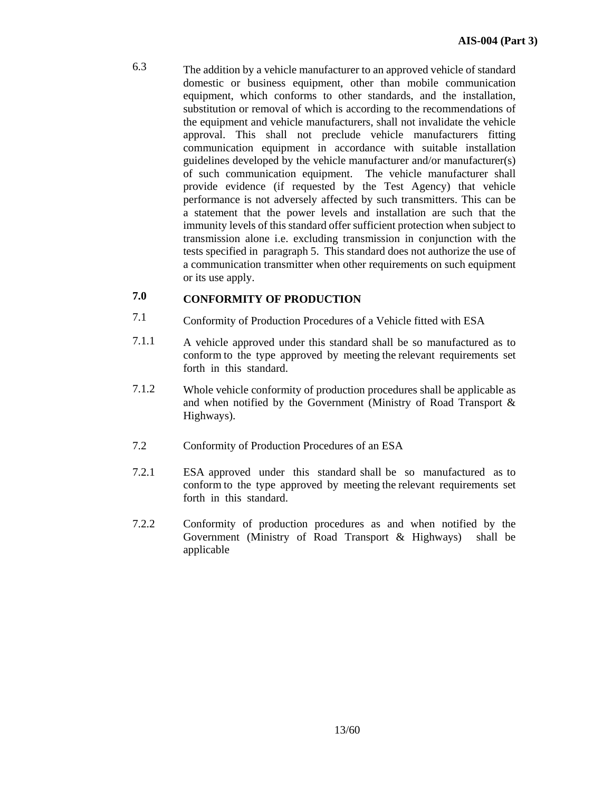6.3 The addition by a vehicle manufacturer to an approved vehicle of standard domestic or business equipment, other than mobile communication equipment, which conforms to other standards, and the installation, substitution or removal of which is according to the recommendations of the equipment and vehicle manufacturers, shall not invalidate the vehicle approval. This shall not preclude vehicle manufacturers fitting communication equipment in accordance with suitable installation guidelines developed by the vehicle manufacturer and/or manufacturer(s) of such communication equipment. The vehicle manufacturer shall provide evidence (if requested by the Test Agency) that vehicle performance is not adversely affected by such transmitters. This can be a statement that the power levels and installation are such that the immunity levels of this standard offer sufficient protection when subject to transmission alone i.e. excluding transmission in conjunction with the tests specified in paragraph 5. This standard does not authorize the use of a communication transmitter when other requirements on such equipment or its use apply.

#### **7.0 CONFORMITY OF PRODUCTION**

- 7.1 Conformity of Production Procedures of a Vehicle fitted with ESA
- 7.1.1 A vehicle approved under this standard shall be so manufactured as to conform to the type approved by meeting the relevant requirements set forth in this standard.
- 7.1.2 Whole vehicle conformity of production procedures shall be applicable as and when notified by the Government (Ministry of Road Transport & Highways).
- 7.2 Conformity of Production Procedures of an ESA
- 7.2.1 ESA approved under this standard shall be so manufactured as to conform to the type approved by meeting the relevant requirements set forth in this standard.
- 7.2.2 Conformity of production procedures as and when notified by the Government (Ministry of Road Transport & Highways) shall be applicable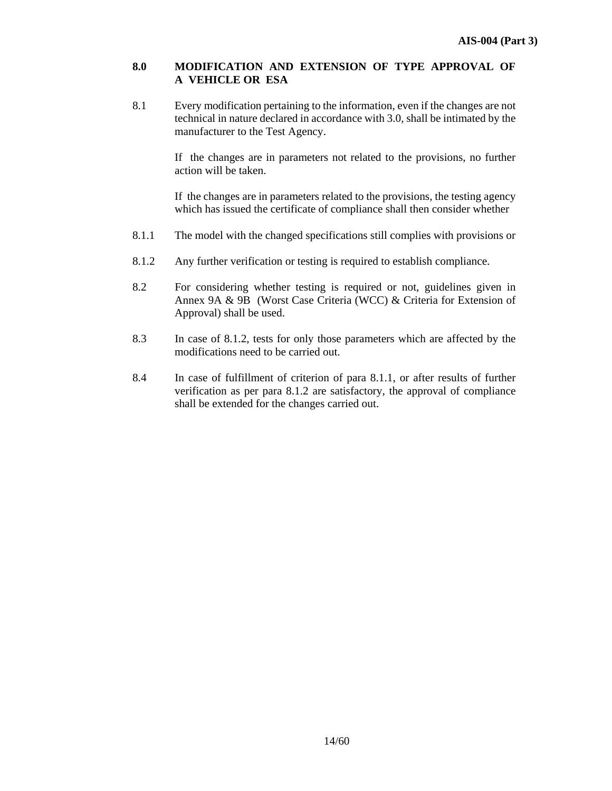### **8.0 MODIFICATION AND EXTENSION OF TYPE APPROVAL OF A VEHICLE OR ESA**

8.1 Every modification pertaining to the information, even if the changes are not technical in nature declared in accordance with 3.0, shall be intimated by the manufacturer to the Test Agency.

> If the changes are in parameters not related to the provisions, no further action will be taken.

> If the changes are in parameters related to the provisions, the testing agency which has issued the certificate of compliance shall then consider whether

- 8.1.1 The model with the changed specifications still complies with provisions or
- 8.1.2 Any further verification or testing is required to establish compliance.
- 8.2 For considering whether testing is required or not, guidelines given in Annex 9A & 9B (Worst Case Criteria (WCC) & Criteria for Extension of Approval) shall be used.
- 8.3 In case of 8.1.2, tests for only those parameters which are affected by the modifications need to be carried out.
- 8.4 In case of fulfillment of criterion of para 8.1.1, or after results of further verification as per para 8.1.2 are satisfactory, the approval of compliance shall be extended for the changes carried out.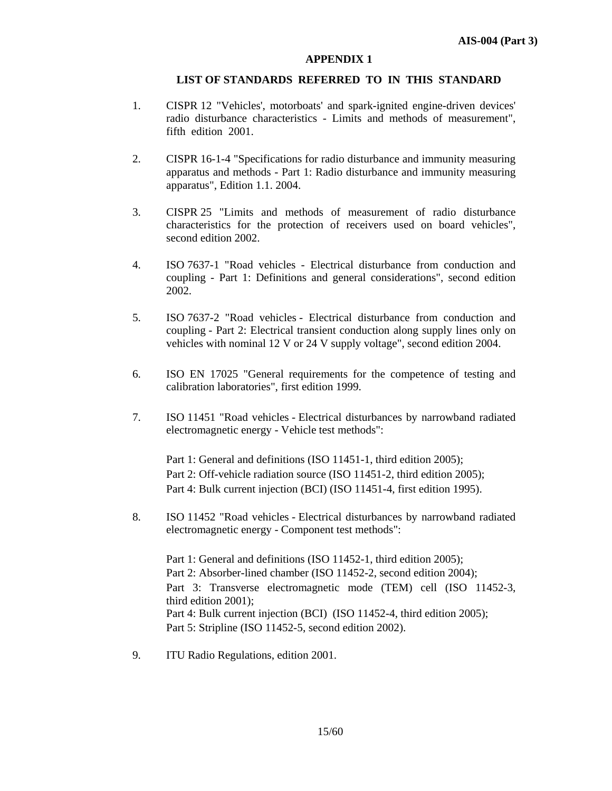### **LIST OF STANDARDS REFERRED TO IN THIS STANDARD**

- 1. CISPR 12 "Vehicles', motorboats' and spark-ignited engine-driven devices' radio disturbance characteristics - Limits and methods of measurement", fifth edition 2001.
- 2. CISPR 16-1-4 "Specifications for radio disturbance and immunity measuring apparatus and methods - Part 1: Radio disturbance and immunity measuring apparatus", Edition 1.1. 2004.
- 3. CISPR 25 "Limits and methods of measurement of radio disturbance characteristics for the protection of receivers used on board vehicles", second edition 2002.
- 4. ISO 7637-1 "Road vehicles Electrical disturbance from conduction and coupling - Part 1: Definitions and general considerations", second edition 2002.
- 5. ISO 7637-2 "Road vehicles Electrical disturbance from conduction and coupling - Part 2: Electrical transient conduction along supply lines only on vehicles with nominal 12 V or 24 V supply voltage", second edition 2004.
- 6. ISO EN 17025 "General requirements for the competence of testing and calibration laboratories", first edition 1999.
- 7. ISO 11451 "Road vehicles Electrical disturbances by narrowband radiated electromagnetic energy - Vehicle test methods":

Part 1: General and definitions (ISO 11451-1, third edition 2005); Part 2: Off-vehicle radiation source (ISO 11451-2, third edition 2005); Part 4: Bulk current injection (BCI) (ISO 11451-4, first edition 1995).

8. ISO 11452 "Road vehicles - Electrical disturbances by narrowband radiated electromagnetic energy - Component test methods":

Part 1: General and definitions (ISO 11452-1, third edition 2005); Part 2: Absorber-lined chamber (ISO 11452-2, second edition 2004); Part 3: Transverse electromagnetic mode (TEM) cell (ISO 11452-3, third edition 2001); Part 4: Bulk current injection (BCI) (ISO 11452-4, third edition 2005); Part 5: Stripline (ISO 11452-5, second edition 2002).

9. ITU Radio Regulations, edition 2001.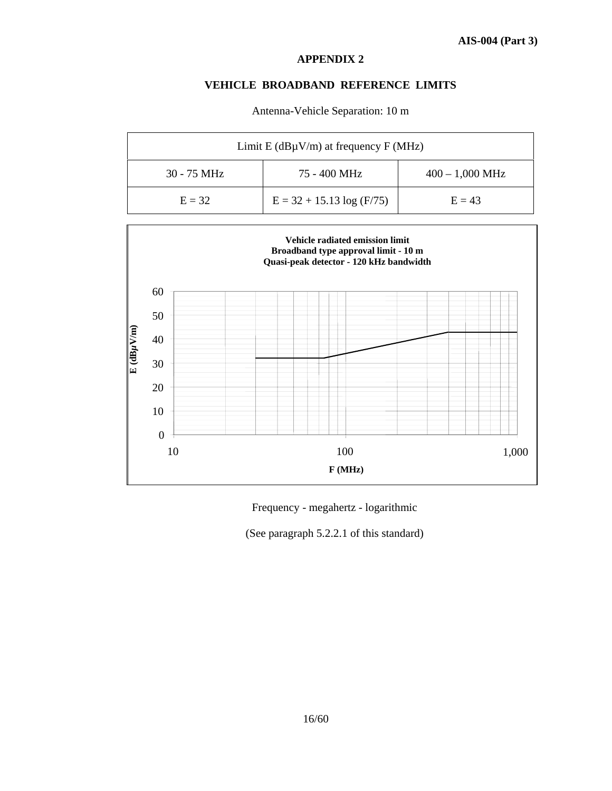### **VEHICLE BROADBAND REFERENCE LIMITS**

| Limit E ( $dB\mu V/m$ ) at frequency F (MHz) |                             |                   |
|----------------------------------------------|-----------------------------|-------------------|
| $30 - 75$ MHz                                | 75 - 400 MHz                | $400 - 1,000$ MHz |
| $E = 32$                                     | $E = 32 + 15.13 \log(F/75)$ | $E = 43$          |

Antenna-Vehicle Separation: 10 m



Frequency - megahertz - logarithmic

(See paragraph 5.2.2.1 of this standard)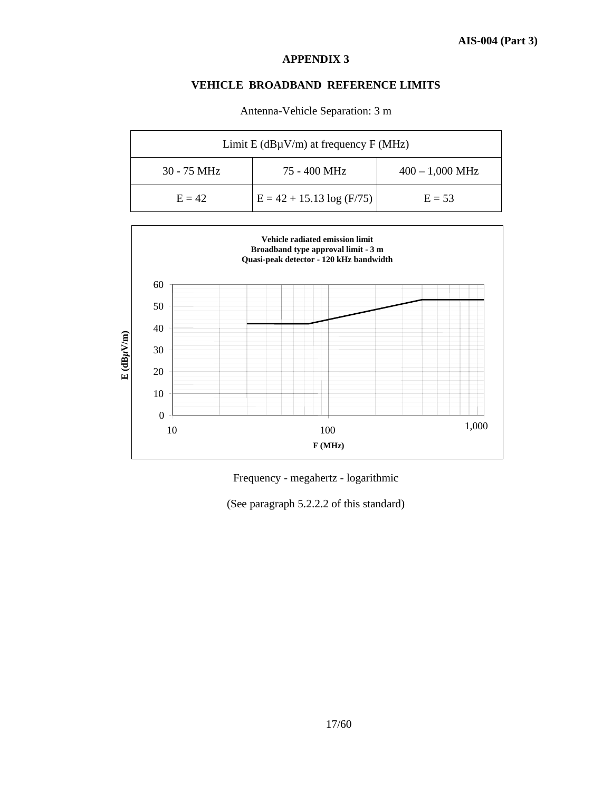### **VEHICLE BROADBAND REFERENCE LIMITS**

| Limit E ( $dB\mu V/m$ ) at frequency F (MHz) |                             |                   |
|----------------------------------------------|-----------------------------|-------------------|
| $30 - 75$ MHz                                | 75 - 400 MHz                | $400 - 1,000$ MHz |
| $E = 42$                                     | $E = 42 + 15.13 \log(F/75)$ | $E = 53$          |

Antenna-Vehicle Separation: 3 m



Frequency - megahertz - logarithmic

(See paragraph 5.2.2.2 of this standard)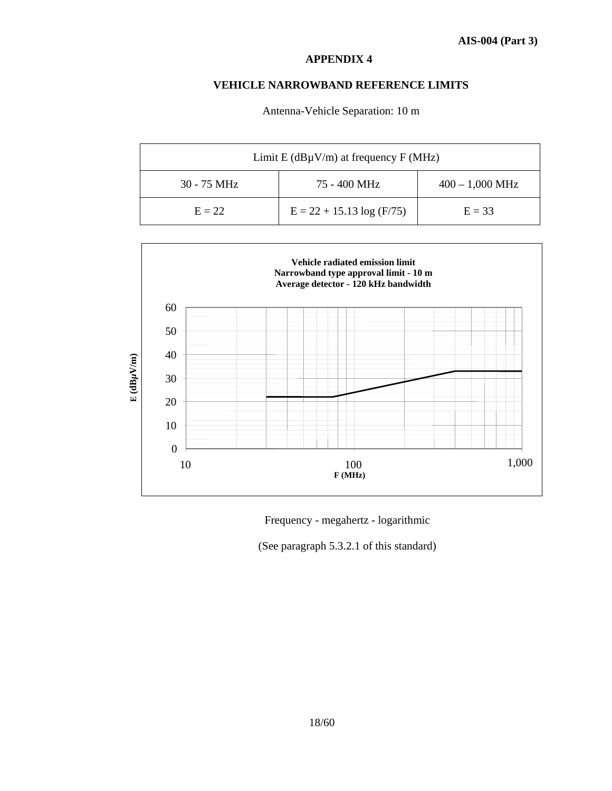### **VEHICLE NARROWBAND REFERENCE LIMITS**

Antenna-Vehicle Separation: 10 m

| Limit E ( $dB\mu V/m$ ) at frequency F (MHz) |                             |                   |
|----------------------------------------------|-----------------------------|-------------------|
| $30 - 75$ MHz                                | 75 - 400 MHz                | $400 - 1,000$ MHz |
| $E = 22$                                     | $E = 22 + 15.13 \log(F/75)$ | $E = 33$          |



Frequency - megahertz - logarithmic

(See paragraph 5.3.2.1 of this standard)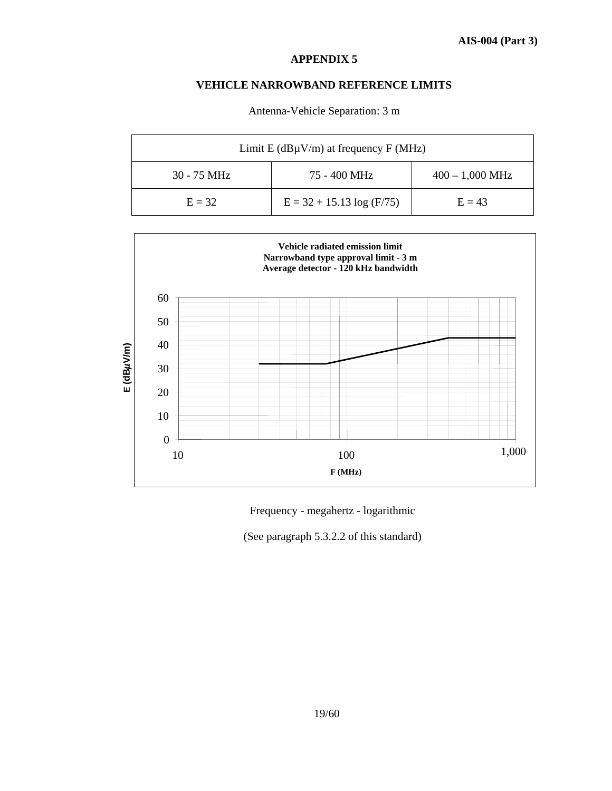### **VEHICLE NARROWBAND REFERENCE LIMITS**

| Limit E ( $dB\mu V/m$ ) at frequency F (MHz) |                             |                   |
|----------------------------------------------|-----------------------------|-------------------|
| 30 - 75 MHz                                  | 75 - 400 MHz                | $400 - 1,000$ MHz |
| $E = 32$                                     | $E = 32 + 15.13 \log(F/75)$ | $E = 43$          |

Antenna-Vehicle Separation: 3 m



Frequency - megahertz - logarithmic

(See paragraph 5.3.2.2 of this standard)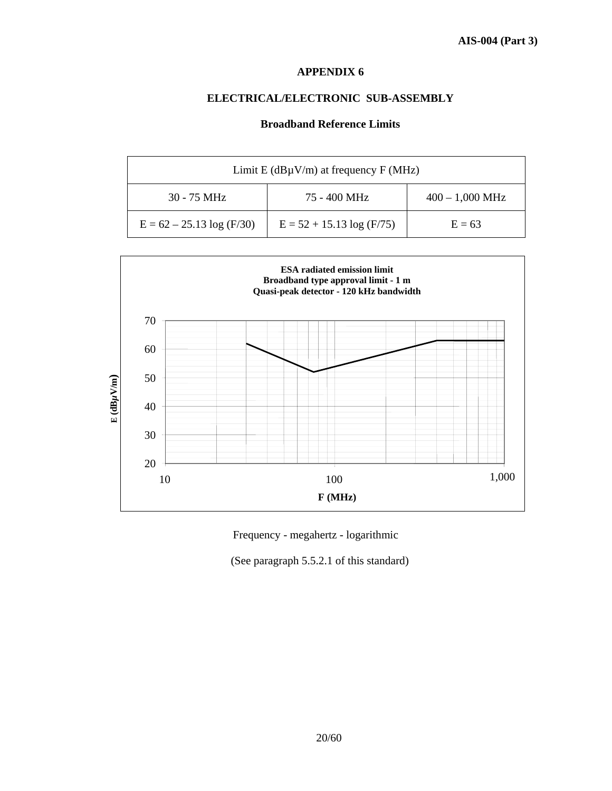# **ELECTRICAL/ELECTRONIC SUB-ASSEMBLY**

### **Broadband Reference Limits**

| Limit E ( $dB\mu V/m$ ) at frequency F (MHz) |                             |                   |
|----------------------------------------------|-----------------------------|-------------------|
| $30 - 75$ MHz                                | 75 - 400 MHz                | $400 - 1,000$ MHz |
| $E = 62 - 25.13 \log(F/30)$                  | $E = 52 + 15.13 \log(F/75)$ | $E = 63$          |



Frequency - megahertz - logarithmic

(See paragraph 5.5.2.1 of this standard)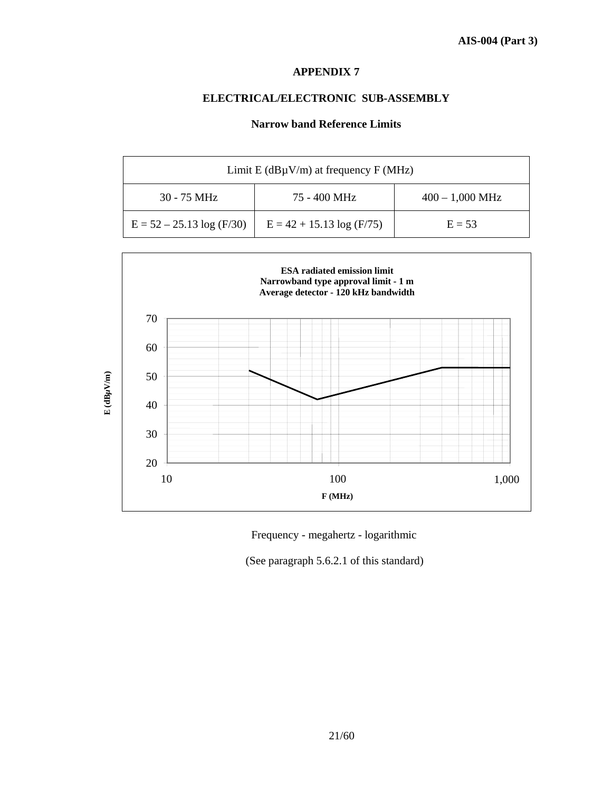# **ELECTRICAL/ELECTRONIC SUB-ASSEMBLY**

### **Narrow band Reference Limits**

| Limit E ( $dB\mu V/m$ ) at frequency F (MHz) |                             |                   |
|----------------------------------------------|-----------------------------|-------------------|
| $30 - 75$ MHz                                | 75 - 400 MHz                | $400 - 1,000$ MHz |
| $E = 52 - 25.13 \log(F/30)$                  | $E = 42 + 15.13 \log(F/75)$ | $E = 53$          |



Frequency - megahertz - logarithmic

(See paragraph 5.6.2.1 of this standard)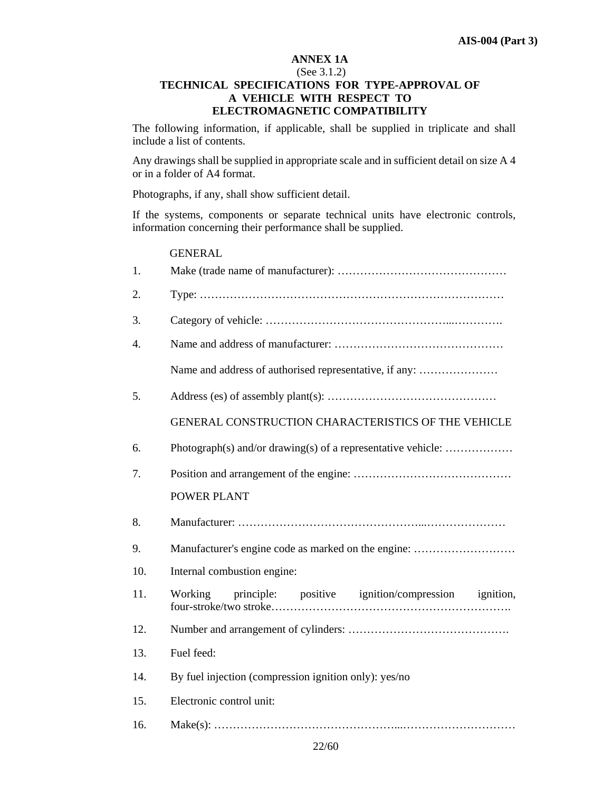### **ANNEX 1A**

### (See 3.1.2) **TECHNICAL SPECIFICATIONS FOR TYPE-APPROVAL OF A VEHICLE WITH RESPECT TO ELECTROMAGNETIC COMPATIBILITY**

The following information, if applicable, shall be supplied in triplicate and shall include a list of contents.

Any drawings shall be supplied in appropriate scale and in sufficient detail on size A 4 or in a folder of A4 format.

Photographs, if any, shall show sufficient detail.

If the systems, components or separate technical units have electronic controls, information concerning their performance shall be supplied.

### **GENERAL**

| 1.  |                                                               |
|-----|---------------------------------------------------------------|
| 2.  |                                                               |
| 3.  |                                                               |
| 4.  |                                                               |
|     | Name and address of authorised representative, if any:        |
| 5.  |                                                               |
|     | GENERAL CONSTRUCTION CHARACTERISTICS OF THE VEHICLE           |
| 6.  | Photograph(s) and/or drawing(s) of a representative vehicle:  |
| 7.  |                                                               |
|     | POWER PLANT                                                   |
| 8.  |                                                               |
| 9.  | Manufacturer's engine code as marked on the engine:           |
| 10. | Internal combustion engine:                                   |
| 11. | principle: positive ignition/compression ignition,<br>Working |
| 12. |                                                               |
| 13. | Fuel feed:                                                    |
| 14. | By fuel injection (compression ignition only): yes/no         |
| 15. | Electronic control unit:                                      |
| 16. |                                                               |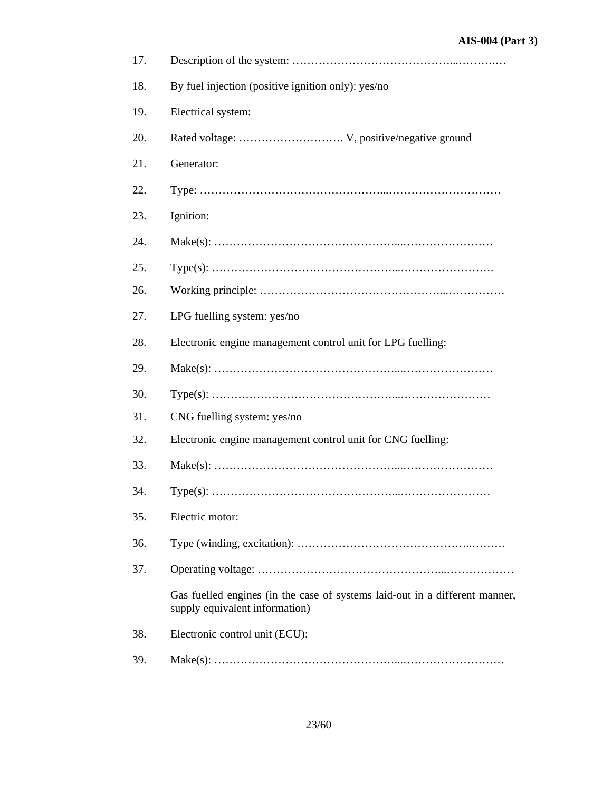| 17. |                                                                                                               |
|-----|---------------------------------------------------------------------------------------------------------------|
| 18. | By fuel injection (positive ignition only): yes/no                                                            |
| 19. | Electrical system:                                                                                            |
| 20. |                                                                                                               |
| 21. | Generator:                                                                                                    |
| 22. |                                                                                                               |
| 23. | Ignition:                                                                                                     |
| 24. |                                                                                                               |
| 25. |                                                                                                               |
| 26. |                                                                                                               |
| 27. | LPG fuelling system: yes/no                                                                                   |
| 28. | Electronic engine management control unit for LPG fuelling:                                                   |
| 29. |                                                                                                               |
| 30. |                                                                                                               |
| 31. | CNG fuelling system: yes/no                                                                                   |
| 32. | Electronic engine management control unit for CNG fuelling:                                                   |
| 33. |                                                                                                               |
| 34. |                                                                                                               |
| 35. | Electric motor:                                                                                               |
| 36. |                                                                                                               |
| 37. |                                                                                                               |
|     | Gas fuelled engines (in the case of systems laid-out in a different manner,<br>supply equivalent information) |
| 38. | Electronic control unit (ECU):                                                                                |
| 39. |                                                                                                               |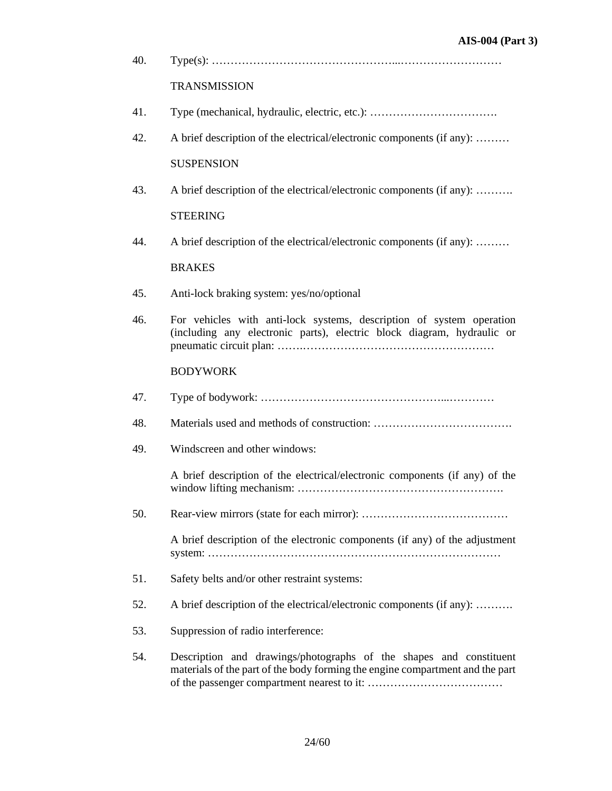| 40. |                                                                                                                                                     |
|-----|-----------------------------------------------------------------------------------------------------------------------------------------------------|
|     | <b>TRANSMISSION</b>                                                                                                                                 |
| 41. |                                                                                                                                                     |
| 42. | A brief description of the electrical/electronic components (if any):                                                                               |
|     | <b>SUSPENSION</b>                                                                                                                                   |
| 43. | A brief description of the electrical/electronic components (if any):                                                                               |
|     | <b>STEERING</b>                                                                                                                                     |
| 44. | A brief description of the electrical/electronic components (if any):                                                                               |
|     | <b>BRAKES</b>                                                                                                                                       |
| 45. | Anti-lock braking system: yes/no/optional                                                                                                           |
| 46. | For vehicles with anti-lock systems, description of system operation<br>(including any electronic parts), electric block diagram, hydraulic or      |
|     | <b>BODYWORK</b>                                                                                                                                     |
| 47. |                                                                                                                                                     |
| 48. |                                                                                                                                                     |
| 49. | Windscreen and other windows:                                                                                                                       |
|     | A brief description of the electrical/electronic components (if any) of the                                                                         |
| 50. |                                                                                                                                                     |
|     | A brief description of the electronic components (if any) of the adjustment                                                                         |
| 51. | Safety belts and/or other restraint systems:                                                                                                        |
| 52. | A brief description of the electrical/electronic components (if any):                                                                               |
| 53. | Suppression of radio interference:                                                                                                                  |
| 54. | Description and drawings/photographs of the shapes and constituent<br>materials of the part of the body forming the engine compartment and the part |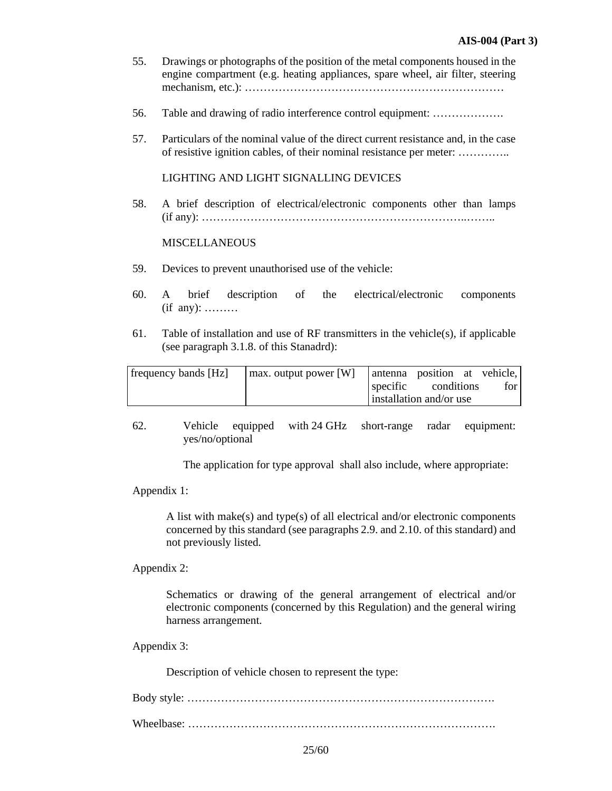- 55. Drawings or photographs of the position of the metal components housed in the engine compartment (e.g. heating appliances, spare wheel, air filter, steering mechanism, etc.): ……………………………………………………………
- 56. Table and drawing of radio interference control equipment: ……………….
- 57. Particulars of the nominal value of the direct current resistance and, in the case of resistive ignition cables, of their nominal resistance per meter: …………..

### LIGHTING AND LIGHT SIGNALLING DEVICES

58. A brief description of electrical/electronic components other than lamps (if any): ……………………………………………………………..……..

### MISCELLANEOUS

- 59. Devices to prevent unauthorised use of the vehicle:
- 60. A brief description of the electrical/electronic components (if any): ………
- 61. Table of installation and use of RF transmitters in the vehicle(s), if applicable (see paragraph 3.1.8. of this Stanadrd):

| frequency bands [Hz] | max. output power [W] | antenna position at vehicle, |       |
|----------------------|-----------------------|------------------------------|-------|
|                      |                       | specific conditions          | for l |
|                      |                       | installation and/or use      |       |

62. Vehicle equipped with 24 GHz short-range radar equipment: yes/no/optional

The application for type approval shall also include, where appropriate:

Appendix 1:

A list with make(s) and type(s) of all electrical and/or electronic components concerned by this standard (see paragraphs 2.9. and 2.10. of this standard) and not previously listed.

Appendix 2:

Schematics or drawing of the general arrangement of electrical and/or electronic components (concerned by this Regulation) and the general wiring harness arrangement.

Appendix 3:

Description of vehicle chosen to represent the type:

Body style: ……………………………………………………………………….

Wheelbase: ……………………………………………………………………….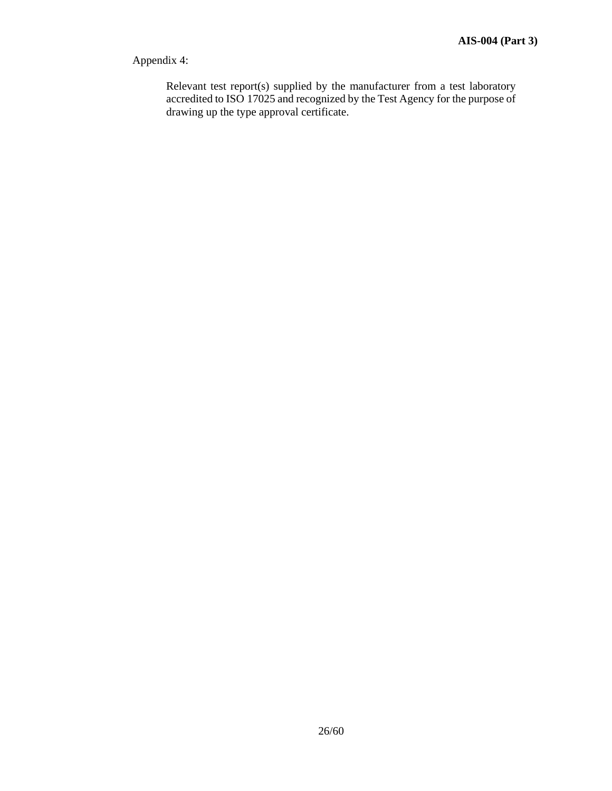# Appendix 4:

Relevant test report(s) supplied by the manufacturer from a test laboratory accredited to ISO 17025 and recognized by the Test Agency for the purpose of drawing up the type approval certificate.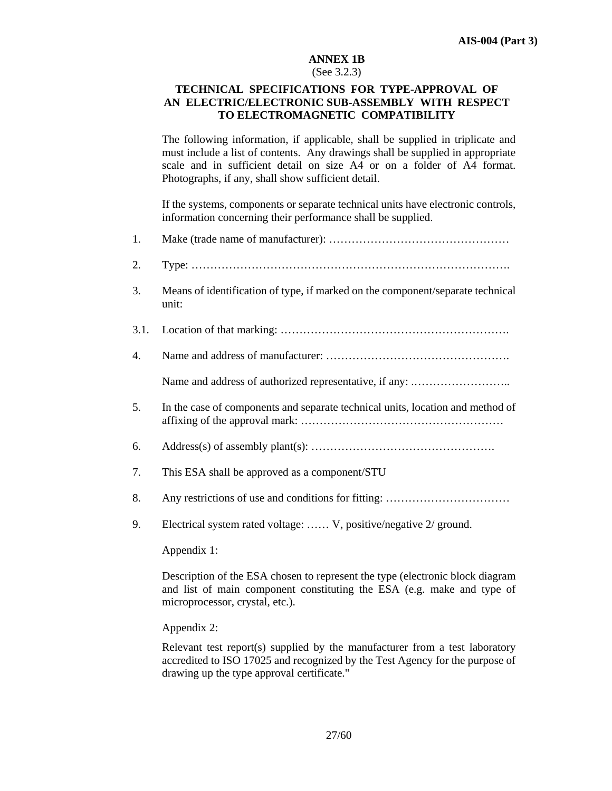### **ANNEX 1B**

#### (See 3.2.3)

### **TECHNICAL SPECIFICATIONS FOR TYPE-APPROVAL OF AN ELECTRIC/ELECTRONIC SUB-ASSEMBLY WITH RESPECT TO ELECTROMAGNETIC COMPATIBILITY**

 The following information, if applicable, shall be supplied in triplicate and must include a list of contents. Any drawings shall be supplied in appropriate scale and in sufficient detail on size A4 or on a folder of A4 format. Photographs, if any, shall show sufficient detail.

 If the systems, components or separate technical units have electronic controls, information concerning their performance shall be supplied.

- 1. Make (trade name of manufacturer): …………………………………………
- 2. Type: ………………………………………………………………………….
- 3. Means of identification of type, if marked on the component/separate technical unit:
- 3.1. Location of that marking: …………………………………………………….
- 4. Name and address of manufacturer: ………………………………………….

Name and address of authorized representative, if any: .……………………..

- 5. In the case of components and separate technical units, location and method of affixing of the approval mark: ………………………………………………
- 6. Address(s) of assembly plant(s): ………………………………………….
- 7. This ESA shall be approved as a component/STU
- 8. Any restrictions of use and conditions for fitting: ……………………………
- 9. Electrical system rated voltage: …… V, positive/negative 2/ ground.

Appendix 1:

 Description of the ESA chosen to represent the type (electronic block diagram and list of main component constituting the ESA (e.g. make and type of microprocessor, crystal, etc.).

### Appendix 2:

 Relevant test report(s) supplied by the manufacturer from a test laboratory accredited to ISO 17025 and recognized by the Test Agency for the purpose of drawing up the type approval certificate."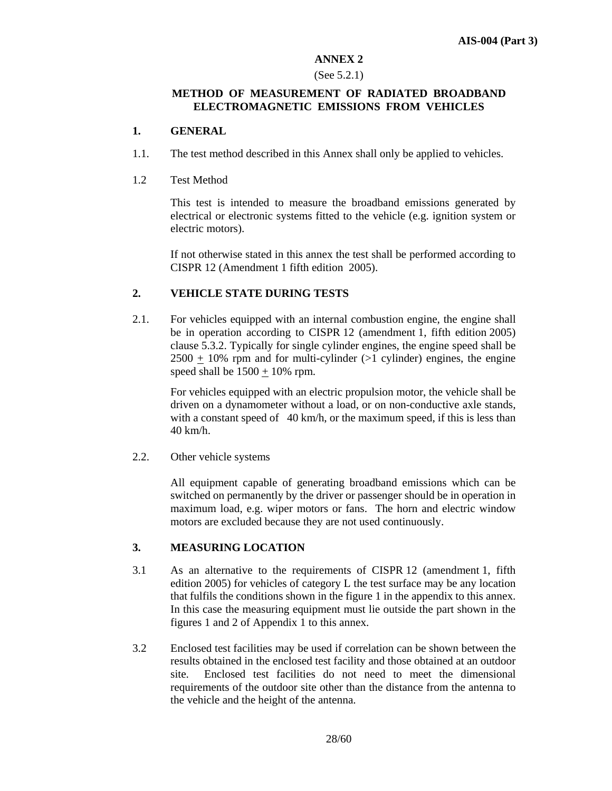### **ANNEX 2**

### (See 5.2.1)

### **METHOD OF MEASUREMENT OF RADIATED BROADBAND ELECTROMAGNETIC EMISSIONS FROM VEHICLES**

### **1. GENERAL**

- 1.1. The test method described in this Annex shall only be applied to vehicles.
- 1.2 Test Method

 This test is intended to measure the broadband emissions generated by electrical or electronic systems fitted to the vehicle (e.g. ignition system or electric motors).

 If not otherwise stated in this annex the test shall be performed according to CISPR 12 (Amendment 1 fifth edition 2005).

### **2. VEHICLE STATE DURING TESTS**

2.1. For vehicles equipped with an internal combustion engine, the engine shall be in operation according to CISPR 12 (amendment 1, fifth edition 2005) clause 5.3.2. Typically for single cylinder engines, the engine speed shall be  $2500 + 10\%$  rpm and for multi-cylinder ( $>1$  cylinder) engines, the engine speed shall be  $1500 + 10\%$  rpm.

For vehicles equipped with an electric propulsion motor, the vehicle shall be driven on a dynamometer without a load, or on non-conductive axle stands, with a constant speed of  $40 \text{ km/h}$ , or the maximum speed, if this is less than 40 km/h.

2.2. Other vehicle systems

 All equipment capable of generating broadband emissions which can be switched on permanently by the driver or passenger should be in operation in maximum load, e.g. wiper motors or fans. The horn and electric window motors are excluded because they are not used continuously.

### **3. MEASURING LOCATION**

- 3.1 As an alternative to the requirements of CISPR 12 (amendment 1, fifth edition 2005) for vehicles of category L the test surface may be any location that fulfils the conditions shown in the figure 1 in the appendix to this annex. In this case the measuring equipment must lie outside the part shown in the figures 1 and 2 of Appendix 1 to this annex.
- 3.2 Enclosed test facilities may be used if correlation can be shown between the results obtained in the enclosed test facility and those obtained at an outdoor site. Enclosed test facilities do not need to meet the dimensional requirements of the outdoor site other than the distance from the antenna to the vehicle and the height of the antenna.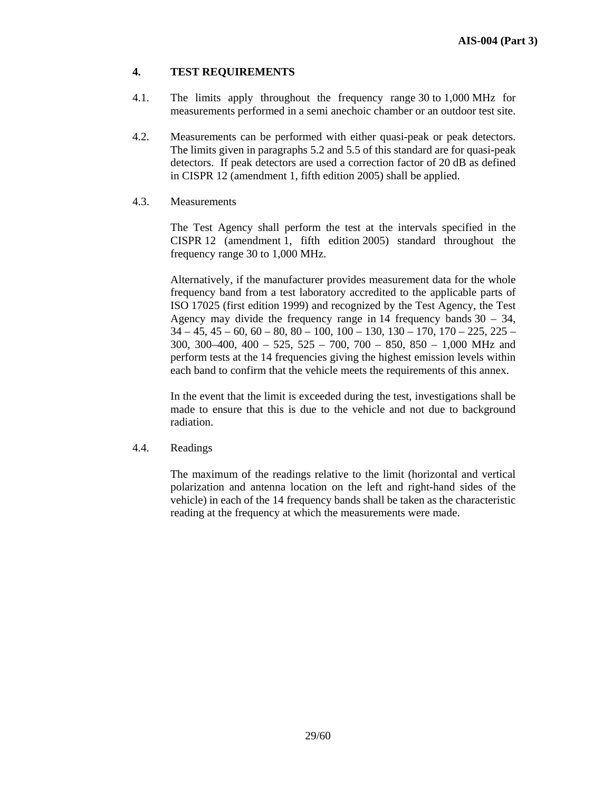### **4. TEST REQUIREMENTS**

- 4.1. The limits apply throughout the frequency range 30 to 1,000 MHz for measurements performed in a semi anechoic chamber or an outdoor test site.
- 4.2. Measurements can be performed with either quasi-peak or peak detectors. The limits given in paragraphs 5.2 and 5.5 of this standard are for quasi-peak detectors. If peak detectors are used a correction factor of 20 dB as defined in CISPR 12 (amendment 1, fifth edition 2005) shall be applied.
- 4.3. Measurements

 The Test Agency shall perform the test at the intervals specified in the CISPR 12 (amendment 1, fifth edition 2005) standard throughout the frequency range 30 to 1,000 MHz.

 Alternatively, if the manufacturer provides measurement data for the whole frequency band from a test laboratory accredited to the applicable parts of ISO 17025 (first edition 1999) and recognized by the Test Agency, the Test Agency may divide the frequency range in 14 frequency bands 30 – 34,  $34 - 45$ ,  $45 - 60$ ,  $60 - 80$ ,  $80 - 100$ ,  $100 - 130$ ,  $130 - 170$ ,  $170 - 225$ ,  $225 -$ 300, 300–400, 400 – 525, 525 – 700, 700 – 850, 850 – 1,000 MHz and perform tests at the 14 frequencies giving the highest emission levels within each band to confirm that the vehicle meets the requirements of this annex.

 In the event that the limit is exceeded during the test, investigations shall be made to ensure that this is due to the vehicle and not due to background radiation.

4.4. Readings

The maximum of the readings relative to the limit (horizontal and vertical polarization and antenna location on the left and right-hand sides of the vehicle) in each of the 14 frequency bands shall be taken as the characteristic reading at the frequency at which the measurements were made.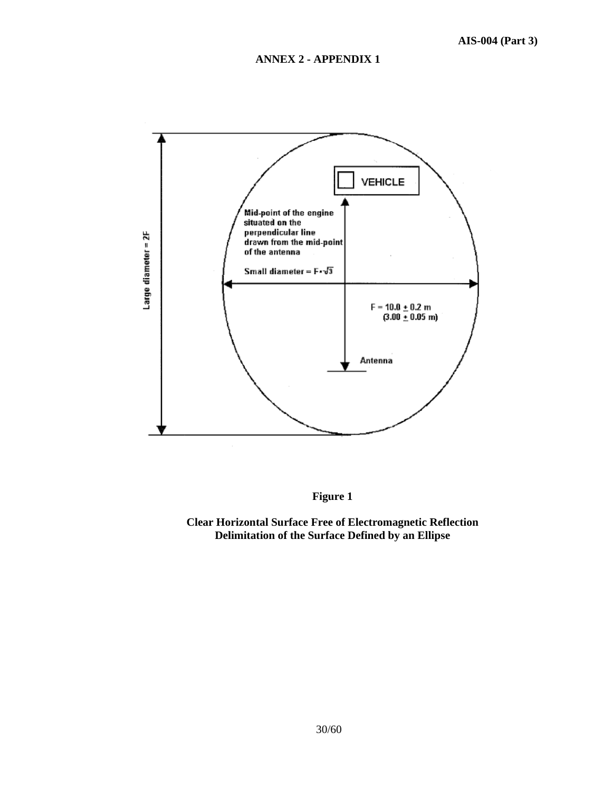

**Figure 1** 

**Clear Horizontal Surface Free of Electromagnetic Reflection Delimitation of the Surface Defined by an Ellipse**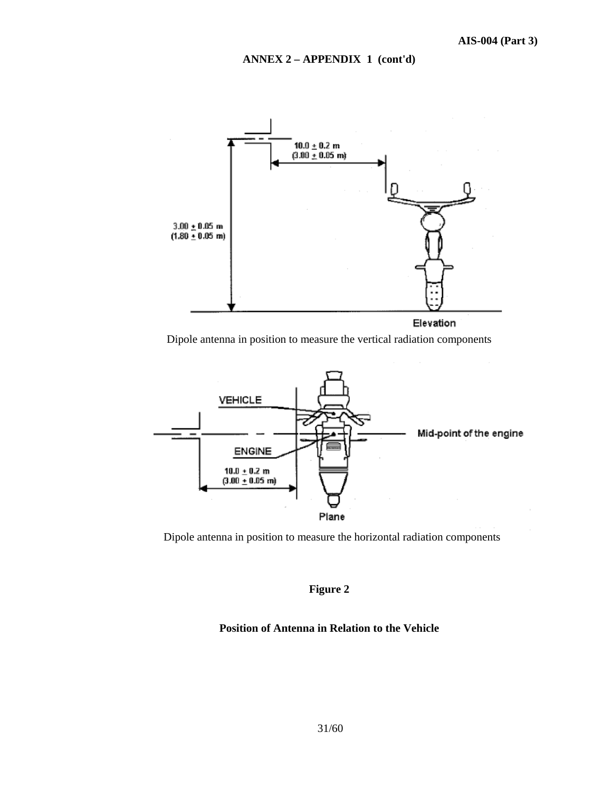### **ANNEX 2 – APPENDIX 1 (cont'd)**



#### Elevation

Dipole antenna in position to measure the vertical radiation components



Dipole antenna in position to measure the horizontal radiation components

# **Figure 2**

### **Position of Antenna in Relation to the Vehicle**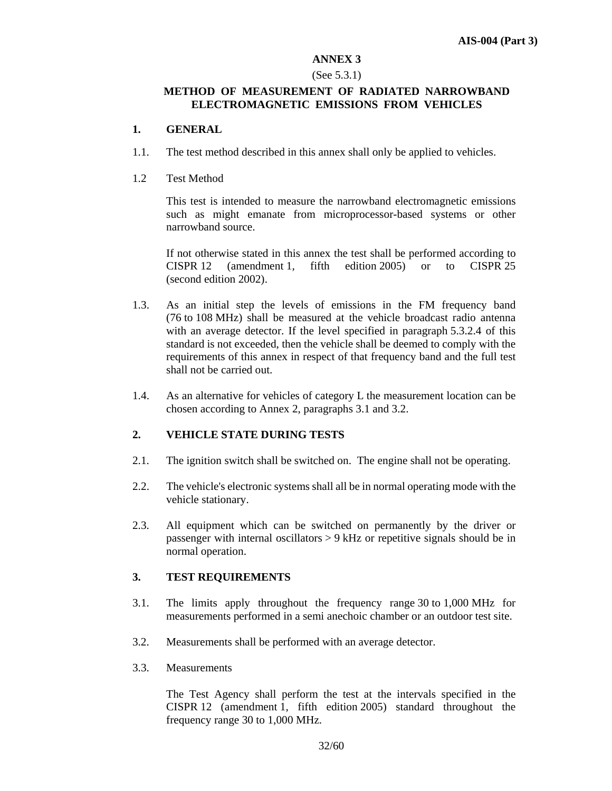#### **ANNEX 3**

#### (See 5.3.1)

### **METHOD OF MEASUREMENT OF RADIATED NARROWBAND ELECTROMAGNETIC EMISSIONS FROM VEHICLES**

#### **1. GENERAL**

- 1.1. The test method described in this annex shall only be applied to vehicles.
- 1.2 Test Method

 This test is intended to measure the narrowband electromagnetic emissions such as might emanate from microprocessor-based systems or other narrowband source.

 If not otherwise stated in this annex the test shall be performed according to CISPR 12 (amendment 1, fifth edition 2005) or to CISPR 25 (second edition 2002).

- 1.3. As an initial step the levels of emissions in the FM frequency band (76 to 108 MHz) shall be measured at the vehicle broadcast radio antenna with an average detector. If the level specified in paragraph 5.3.2.4 of this standard is not exceeded, then the vehicle shall be deemed to comply with the requirements of this annex in respect of that frequency band and the full test shall not be carried out.
- 1.4. As an alternative for vehicles of category L the measurement location can be chosen according to Annex 2, paragraphs 3.1 and 3.2.

### **2. VEHICLE STATE DURING TESTS**

- 2.1. The ignition switch shall be switched on. The engine shall not be operating.
- 2.2. The vehicle's electronic systems shall all be in normal operating mode with the vehicle stationary.
- 2.3. All equipment which can be switched on permanently by the driver or passenger with internal oscillators > 9 kHz or repetitive signals should be in normal operation.

### **3. TEST REQUIREMENTS**

- 3.1. The limits apply throughout the frequency range 30 to 1,000 MHz for measurements performed in a semi anechoic chamber or an outdoor test site.
- 3.2. Measurements shall be performed with an average detector.
- 3.3. Measurements

The Test Agency shall perform the test at the intervals specified in the CISPR 12 (amendment 1, fifth edition 2005) standard throughout the frequency range 30 to 1,000 MHz.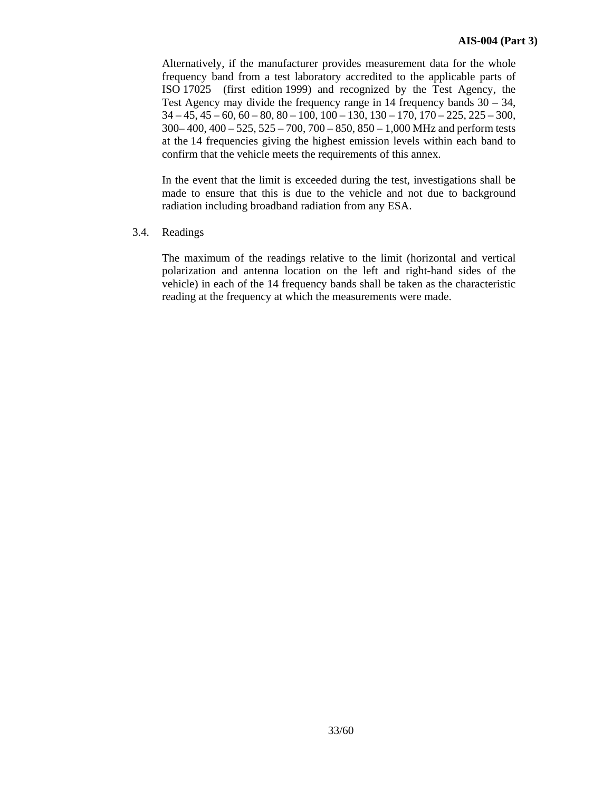Alternatively, if the manufacturer provides measurement data for the whole frequency band from a test laboratory accredited to the applicable parts of ISO 17025 (first edition 1999) and recognized by the Test Agency, the Test Agency may divide the frequency range in 14 frequency bands 30 – 34,  $34 - 45$ ,  $45 - 60$ ,  $60 - 80$ ,  $80 - 100$ ,  $100 - 130$ ,  $130 - 170$ ,  $170 - 225$ ,  $225 - 300$ , 300– 400, 400 – 525, 525 – 700, 700 – 850, 850 – 1,000 MHz and perform tests at the 14 frequencies giving the highest emission levels within each band to confirm that the vehicle meets the requirements of this annex.

 In the event that the limit is exceeded during the test, investigations shall be made to ensure that this is due to the vehicle and not due to background radiation including broadband radiation from any ESA.

3.4. Readings

 The maximum of the readings relative to the limit (horizontal and vertical polarization and antenna location on the left and right-hand sides of the vehicle) in each of the 14 frequency bands shall be taken as the characteristic reading at the frequency at which the measurements were made.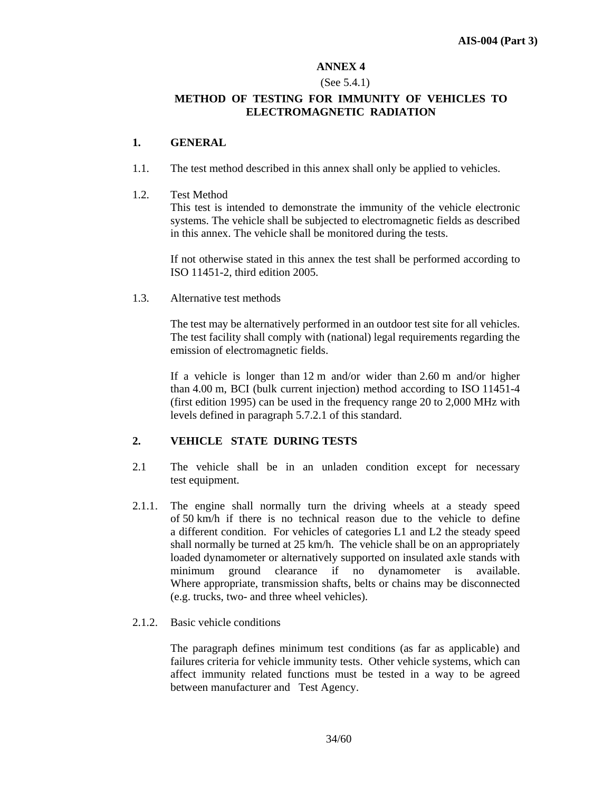# **ANNEX 4**

### (See 5.4.1)

### **METHOD OF TESTING FOR IMMUNITY OF VEHICLES TO ELECTROMAGNETIC RADIATION**

### **1. GENERAL**

- 1.1. The test method described in this annex shall only be applied to vehicles.
- 1.2. Test Method

This test is intended to demonstrate the immunity of the vehicle electronic systems. The vehicle shall be subjected to electromagnetic fields as described in this annex. The vehicle shall be monitored during the tests.

If not otherwise stated in this annex the test shall be performed according to ISO 11451-2, third edition 2005.

1.3. Alternative test methods

The test may be alternatively performed in an outdoor test site for all vehicles. The test facility shall comply with (national) legal requirements regarding the emission of electromagnetic fields.

If a vehicle is longer than 12 m and/or wider than 2.60 m and/or higher than 4.00 m, BCI (bulk current injection) method according to ISO 11451-4 (first edition 1995) can be used in the frequency range 20 to 2,000 MHz with levels defined in paragraph 5.7.2.1 of this standard.

# **2. VEHICLE STATE DURING TESTS**

- 2.1 The vehicle shall be in an unladen condition except for necessary test equipment.
- 2.1.1. The engine shall normally turn the driving wheels at a steady speed of 50 km/h if there is no technical reason due to the vehicle to define a different condition. For vehicles of categories L1 and L2 the steady speed shall normally be turned at 25 km/h. The vehicle shall be on an appropriately loaded dynamometer or alternatively supported on insulated axle stands with minimum ground clearance if no dynamometer is available. Where appropriate, transmission shafts, belts or chains may be disconnected (e.g. trucks, two- and three wheel vehicles).
- 2.1.2. Basic vehicle conditions

The paragraph defines minimum test conditions (as far as applicable) and failures criteria for vehicle immunity tests. Other vehicle systems, which can affect immunity related functions must be tested in a way to be agreed between manufacturer and Test Agency.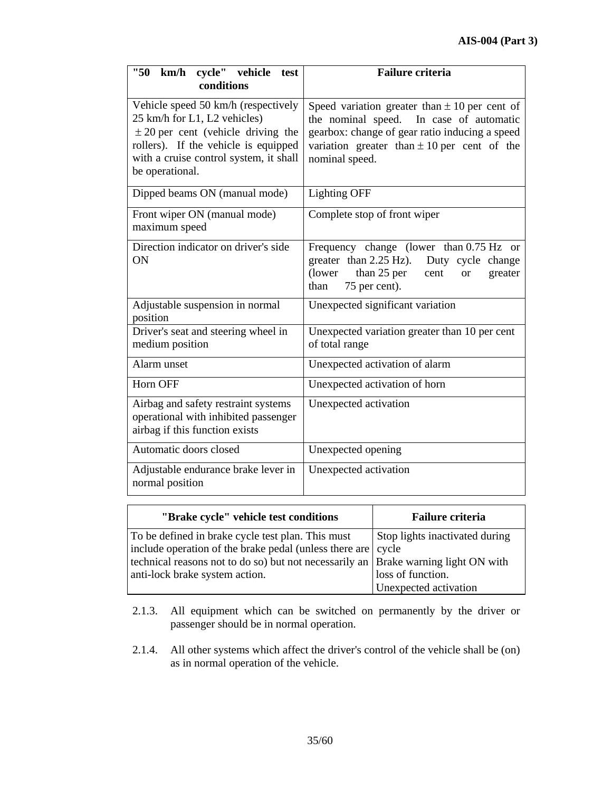| "50"<br>cycle" vehicle<br>km/h<br>test<br>conditions                                                                                                                                                               | <b>Failure criteria</b>                                                                                                                                                                                             |  |  |
|--------------------------------------------------------------------------------------------------------------------------------------------------------------------------------------------------------------------|---------------------------------------------------------------------------------------------------------------------------------------------------------------------------------------------------------------------|--|--|
| Vehicle speed 50 km/h (respectively<br>25 km/h for L1, L2 vehicles)<br>$\pm$ 20 per cent (vehicle driving the<br>rollers). If the vehicle is equipped<br>with a cruise control system, it shall<br>be operational. | Speed variation greater than $\pm 10$ per cent of<br>the nominal speed. In case of automatic<br>gearbox: change of gear ratio inducing a speed<br>variation greater than $\pm 10$ per cent of the<br>nominal speed. |  |  |
| Dipped beams ON (manual mode)                                                                                                                                                                                      | <b>Lighting OFF</b>                                                                                                                                                                                                 |  |  |
| Front wiper ON (manual mode)<br>maximum speed                                                                                                                                                                      | Complete stop of front wiper                                                                                                                                                                                        |  |  |
| Direction indicator on driver's side<br>ON                                                                                                                                                                         | Frequency change (lower than 0.75 Hz or<br>greater than $2.25$ Hz).<br>Duty cycle change<br>than 25 per<br>(lower)<br>cent<br>greater<br><sub>or</sub><br>75 per cent).<br>than                                     |  |  |
| Adjustable suspension in normal<br>position                                                                                                                                                                        | Unexpected significant variation                                                                                                                                                                                    |  |  |
| Driver's seat and steering wheel in<br>medium position                                                                                                                                                             | Unexpected variation greater than 10 per cent<br>of total range                                                                                                                                                     |  |  |
| Alarm unset                                                                                                                                                                                                        | Unexpected activation of alarm                                                                                                                                                                                      |  |  |
| Horn OFF                                                                                                                                                                                                           | Unexpected activation of horn                                                                                                                                                                                       |  |  |
| Airbag and safety restraint systems<br>operational with inhibited passenger<br>airbag if this function exists                                                                                                      | Unexpected activation                                                                                                                                                                                               |  |  |
| Automatic doors closed                                                                                                                                                                                             | Unexpected opening                                                                                                                                                                                                  |  |  |
| Adjustable endurance brake lever in<br>normal position                                                                                                                                                             | Unexpected activation                                                                                                                                                                                               |  |  |

| "Brake cycle" vehicle test conditions                                                | <b>Failure criteria</b>        |
|--------------------------------------------------------------------------------------|--------------------------------|
| To be defined in brake cycle test plan. This must                                    | Stop lights inactivated during |
| include operation of the brake pedal (unless there are   cycle                       |                                |
| technical reasons not to do so) but not necessarily an   Brake warning light ON with |                                |
| anti-lock brake system action.                                                       | loss of function.              |
|                                                                                      | Unexpected activation          |

- 2.1.3. All equipment which can be switched on permanently by the driver or passenger should be in normal operation.
- 2.1.4. All other systems which affect the driver's control of the vehicle shall be (on) as in normal operation of the vehicle.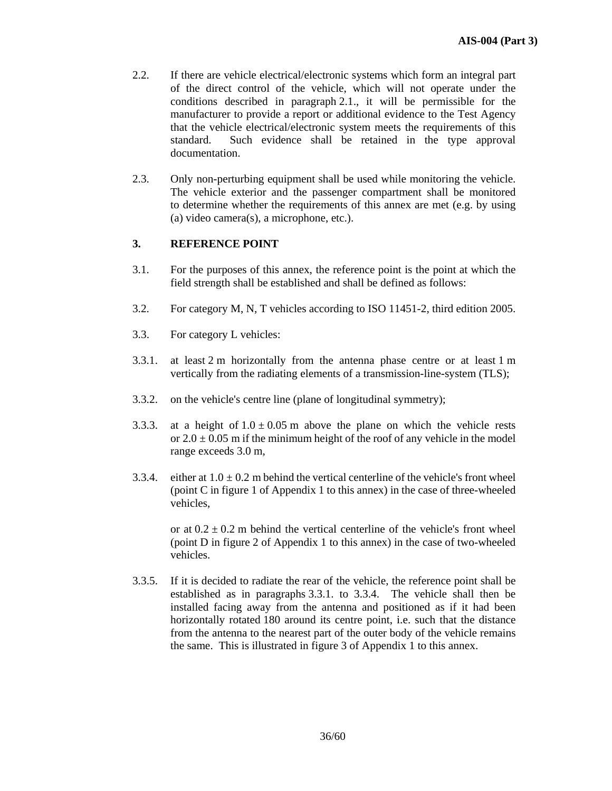- 2.2. If there are vehicle electrical/electronic systems which form an integral part of the direct control of the vehicle, which will not operate under the conditions described in paragraph 2.1., it will be permissible for the manufacturer to provide a report or additional evidence to the Test Agency that the vehicle electrical/electronic system meets the requirements of this standard. Such evidence shall be retained in the type approval documentation.
- 2.3. Only non-perturbing equipment shall be used while monitoring the vehicle. The vehicle exterior and the passenger compartment shall be monitored to determine whether the requirements of this annex are met (e.g. by using (a) video camera(s), a microphone, etc.).

### **3. REFERENCE POINT**

- 3.1. For the purposes of this annex, the reference point is the point at which the field strength shall be established and shall be defined as follows:
- 3.2. For category M, N, T vehicles according to ISO 11451-2, third edition 2005.
- 3.3. For category L vehicles:
- 3.3.1. at least 2 m horizontally from the antenna phase centre or at least 1 m vertically from the radiating elements of a transmission-line-system (TLS);
- 3.3.2. on the vehicle's centre line (plane of longitudinal symmetry);
- 3.3.3. at a height of  $1.0 \pm 0.05$  m above the plane on which the vehicle rests or  $2.0 \pm 0.05$  m if the minimum height of the roof of any vehicle in the model range exceeds 3.0 m,
- 3.3.4. either at  $1.0 \pm 0.2$  m behind the vertical centerline of the vehicle's front wheel (point C in figure 1 of Appendix 1 to this annex) in the case of three-wheeled vehicles,

or at  $0.2 \pm 0.2$  m behind the vertical centerline of the vehicle's front wheel (point D in figure 2 of Appendix 1 to this annex) in the case of two-wheeled vehicles.

3.3.5. If it is decided to radiate the rear of the vehicle, the reference point shall be established as in paragraphs 3.3.1. to 3.3.4. The vehicle shall then be installed facing away from the antenna and positioned as if it had been horizontally rotated 180 around its centre point, i.e. such that the distance from the antenna to the nearest part of the outer body of the vehicle remains the same. This is illustrated in figure 3 of Appendix 1 to this annex.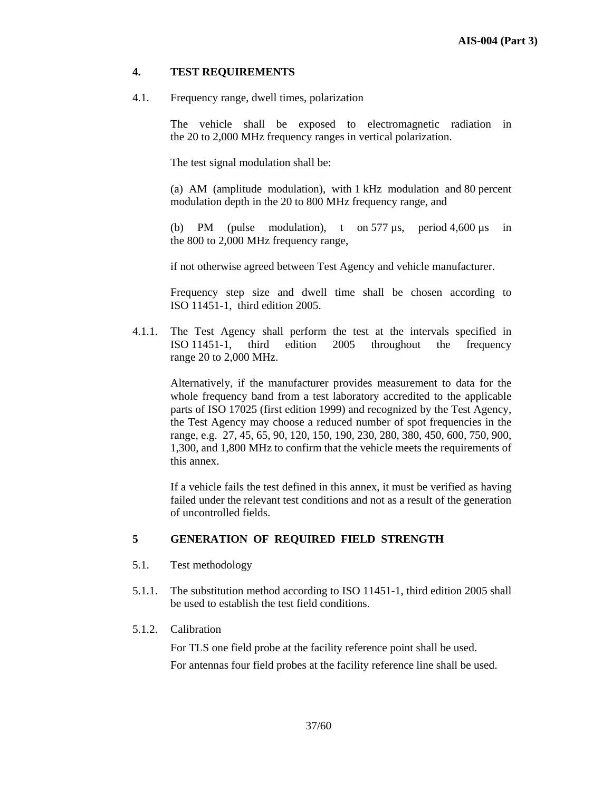### **4. TEST REQUIREMENTS**

4.1. Frequency range, dwell times, polarization

The vehicle shall be exposed to electromagnetic radiation in the 20 to 2,000 MHz frequency ranges in vertical polarization.

The test signal modulation shall be:

(a) AM (amplitude modulation), with 1 kHz modulation and 80 percent modulation depth in the 20 to 800 MHz frequency range, and

(b) PM (pulse modulation), t on 577 µs, period 4,600 µs in the 800 to 2,000 MHz frequency range,

if not otherwise agreed between Test Agency and vehicle manufacturer.

Frequency step size and dwell time shall be chosen according to ISO 11451-1, third edition 2005.

4.1.1. The Test Agency shall perform the test at the intervals specified in ISO 11451-1, third edition 2005 throughout the frequency range 20 to 2,000 MHz.

Alternatively, if the manufacturer provides measurement to data for the whole frequency band from a test laboratory accredited to the applicable parts of ISO 17025 (first edition 1999) and recognized by the Test Agency, the Test Agency may choose a reduced number of spot frequencies in the range, e.g. 27, 45, 65, 90, 120, 150, 190, 230, 280, 380, 450, 600, 750, 900, 1,300, and 1,800 MHz to confirm that the vehicle meets the requirements of this annex.

If a vehicle fails the test defined in this annex, it must be verified as having failed under the relevant test conditions and not as a result of the generation of uncontrolled fields.

### **5 GENERATION OF REQUIRED FIELD STRENGTH**

- 5.1. Test methodology
- 5.1.1. The substitution method according to ISO 11451-1, third edition 2005 shall be used to establish the test field conditions.
- 5.1.2. Calibration

For TLS one field probe at the facility reference point shall be used. For antennas four field probes at the facility reference line shall be used.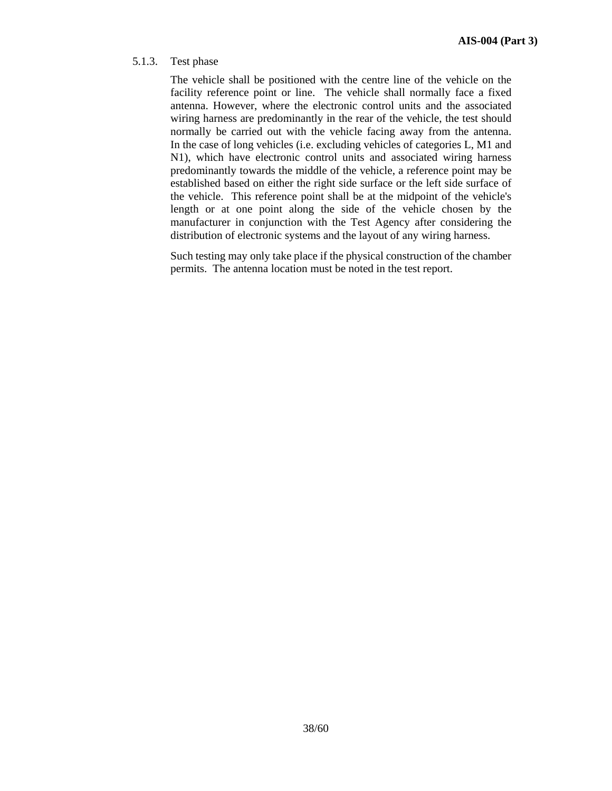### 5.1.3. Test phase

The vehicle shall be positioned with the centre line of the vehicle on the facility reference point or line. The vehicle shall normally face a fixed antenna. However, where the electronic control units and the associated wiring harness are predominantly in the rear of the vehicle, the test should normally be carried out with the vehicle facing away from the antenna. In the case of long vehicles (i.e. excluding vehicles of categories L, M1 and N1), which have electronic control units and associated wiring harness predominantly towards the middle of the vehicle, a reference point may be established based on either the right side surface or the left side surface of the vehicle. This reference point shall be at the midpoint of the vehicle's length or at one point along the side of the vehicle chosen by the manufacturer in conjunction with the Test Agency after considering the distribution of electronic systems and the layout of any wiring harness.

Such testing may only take place if the physical construction of the chamber permits. The antenna location must be noted in the test report.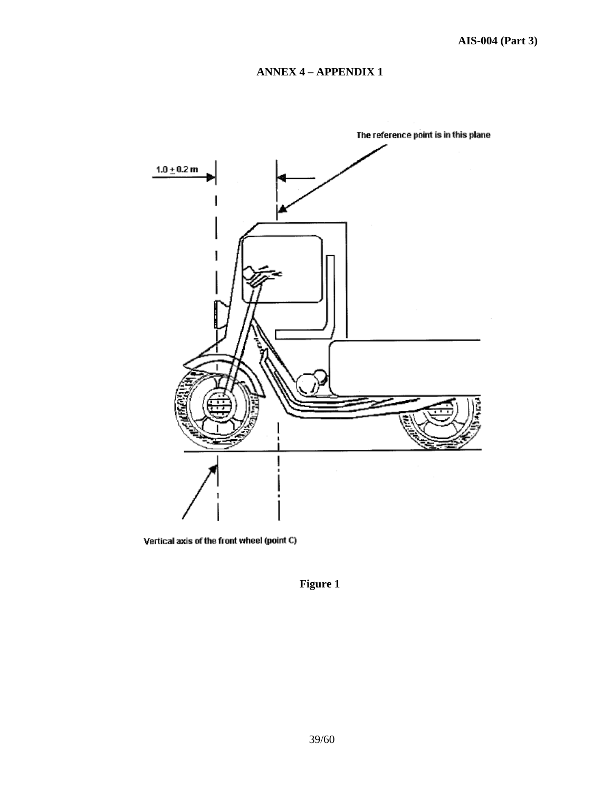# **ANNEX 4 – APPENDIX 1**



Vertical axis of the front wheel (point C)

**Figure 1**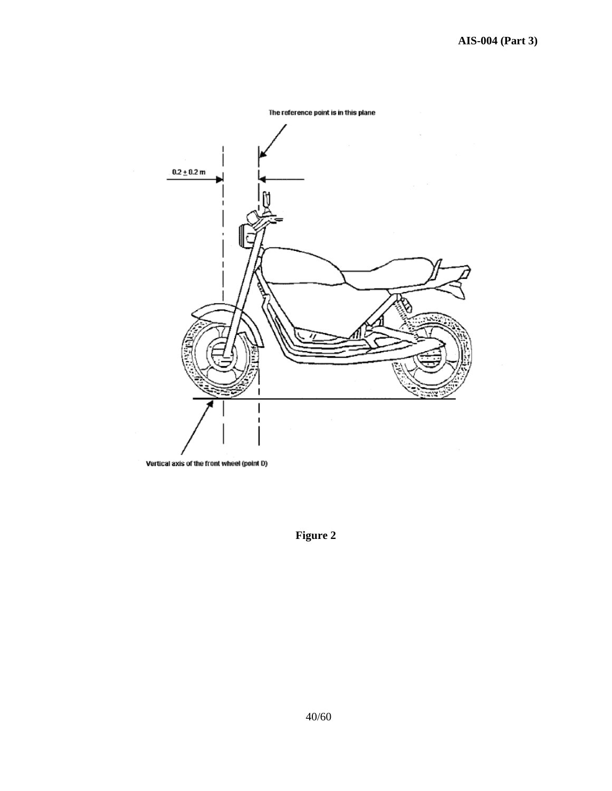

**Figure 2**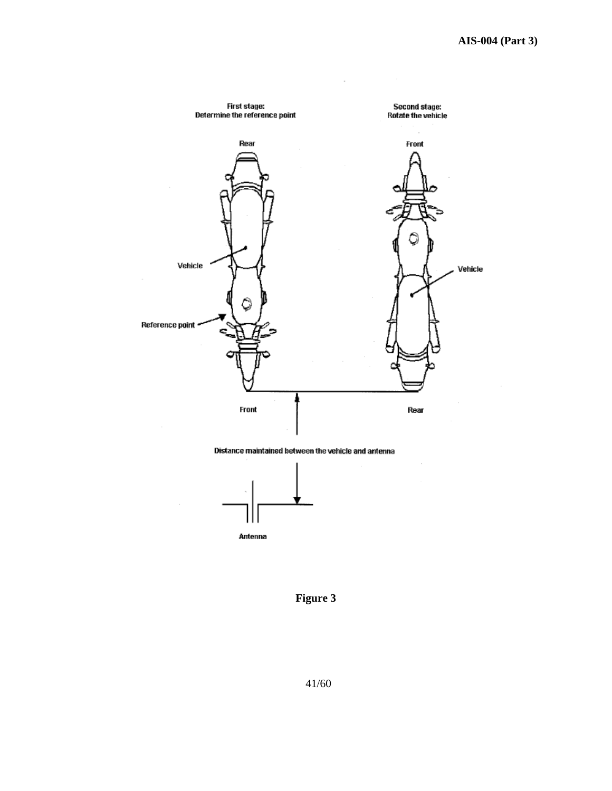





**Figure 3**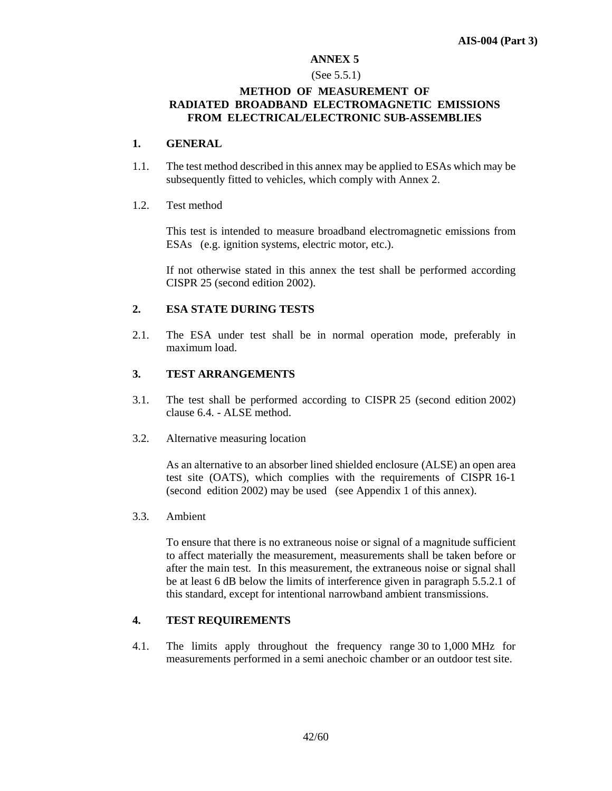#### **ANNEX 5**

#### (See 5.5.1)

### **METHOD OF MEASUREMENT OF RADIATED BROADBAND ELECTROMAGNETIC EMISSIONS FROM ELECTRICAL/ELECTRONIC SUB-ASSEMBLIES**

### **1. GENERAL**

1.1. The test method described in this annex may be applied to ESAs which may be subsequently fitted to vehicles, which comply with Annex 2.

### 1.2. Test method

This test is intended to measure broadband electromagnetic emissions from ESAs (e.g. ignition systems, electric motor, etc.).

If not otherwise stated in this annex the test shall be performed according CISPR 25 (second edition 2002).

### **2. ESA STATE DURING TESTS**

2.1. The ESA under test shall be in normal operation mode, preferably in maximum load.

### **3. TEST ARRANGEMENTS**

- 3.1. The test shall be performed according to CISPR 25 (second edition 2002) clause 6.4. - ALSE method.
- 3.2. Alternative measuring location

 As an alternative to an absorber lined shielded enclosure (ALSE) an open area test site (OATS), which complies with the requirements of CISPR 16-1 (second edition 2002) may be used (see Appendix 1 of this annex).

3.3. Ambient

 To ensure that there is no extraneous noise or signal of a magnitude sufficient to affect materially the measurement, measurements shall be taken before or after the main test. In this measurement, the extraneous noise or signal shall be at least 6 dB below the limits of interference given in paragraph 5.5.2.1 of this standard, except for intentional narrowband ambient transmissions.

### **4. TEST REQUIREMENTS**

4.1. The limits apply throughout the frequency range 30 to 1,000 MHz for measurements performed in a semi anechoic chamber or an outdoor test site.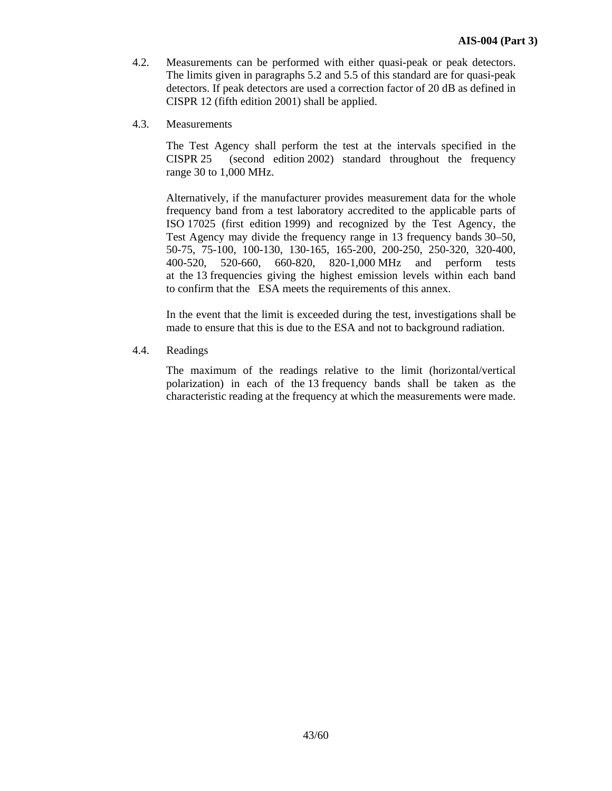- 4.2. Measurements can be performed with either quasi-peak or peak detectors. The limits given in paragraphs 5.2 and 5.5 of this standard are for quasi-peak detectors. If peak detectors are used a correction factor of 20 dB as defined in CISPR 12 (fifth edition 2001) shall be applied.
- 4.3. Measurements

 The Test Agency shall perform the test at the intervals specified in the CISPR 25 (second edition 2002) standard throughout the frequency range 30 to 1,000 MHz.

 Alternatively, if the manufacturer provides measurement data for the whole frequency band from a test laboratory accredited to the applicable parts of ISO 17025 (first edition 1999) and recognized by the Test Agency, the Test Agency may divide the frequency range in 13 frequency bands 30–50, 50-75, 75-100, 100-130, 130-165, 165-200, 200-250, 250-320, 320-400, 400-520, 520-660, 660-820, 820-1,000 MHz and perform tests at the 13 frequencies giving the highest emission levels within each band to confirm that the ESA meets the requirements of this annex.

 In the event that the limit is exceeded during the test, investigations shall be made to ensure that this is due to the ESA and not to background radiation.

4.4. Readings

 The maximum of the readings relative to the limit (horizontal/vertical polarization) in each of the 13 frequency bands shall be taken as the characteristic reading at the frequency at which the measurements were made.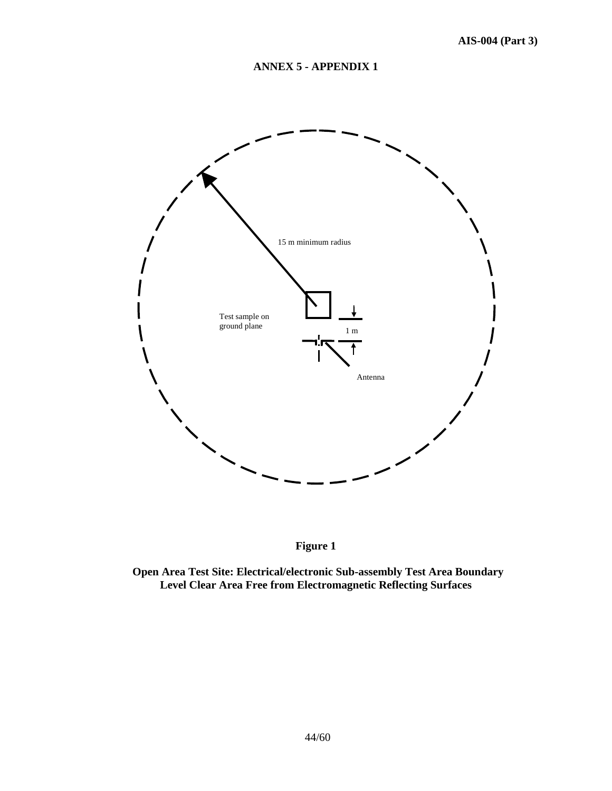# **ANNEX 5 - APPENDIX 1**





**Open Area Test Site: Electrical/electronic Sub-assembly Test Area Boundary Level Clear Area Free from Electromagnetic Reflecting Surfaces**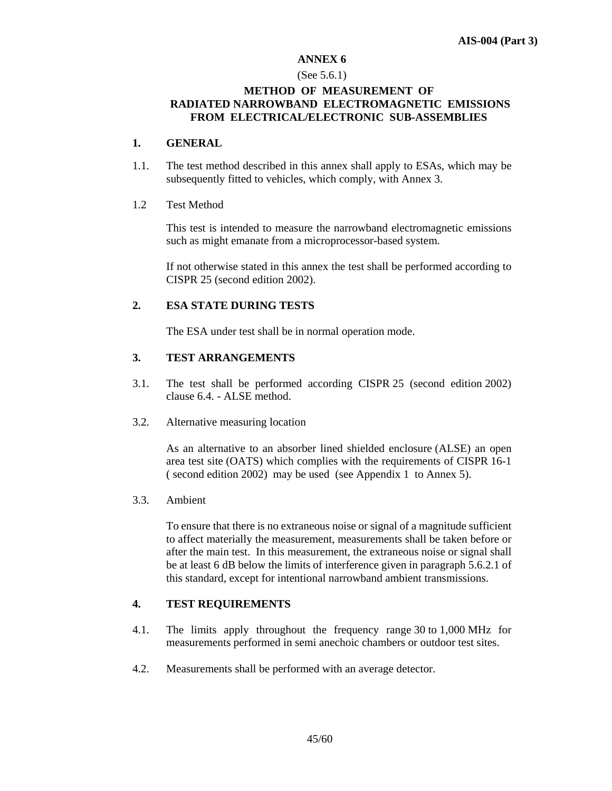### **ANNEX 6**

#### (See 5.6.1)

### **METHOD OF MEASUREMENT OF RADIATED NARROWBAND ELECTROMAGNETIC EMISSIONS FROM ELECTRICAL/ELECTRONIC SUB-ASSEMBLIES**

### **1. GENERAL**

1.1. The test method described in this annex shall apply to ESAs, which may be subsequently fitted to vehicles, which comply, with Annex 3.

### 1.2 Test Method

 This test is intended to measure the narrowband electromagnetic emissions such as might emanate from a microprocessor-based system.

 If not otherwise stated in this annex the test shall be performed according to CISPR 25 (second edition 2002).

### **2. ESA STATE DURING TESTS**

The ESA under test shall be in normal operation mode.

### **3. TEST ARRANGEMENTS**

- 3.1. The test shall be performed according CISPR 25 (second edition 2002) clause 6.4. - ALSE method.
- 3.2. Alternative measuring location

 As an alternative to an absorber lined shielded enclosure (ALSE) an open area test site (OATS) which complies with the requirements of CISPR 16-1 ( second edition 2002) may be used (see Appendix 1 to Annex 5).

3.3. Ambient

 To ensure that there is no extraneous noise or signal of a magnitude sufficient to affect materially the measurement, measurements shall be taken before or after the main test. In this measurement, the extraneous noise or signal shall be at least 6 dB below the limits of interference given in paragraph 5.6.2.1 of this standard, except for intentional narrowband ambient transmissions.

### **4. TEST REQUIREMENTS**

- 4.1. The limits apply throughout the frequency range 30 to 1,000 MHz for measurements performed in semi anechoic chambers or outdoor test sites.
- 4.2. Measurements shall be performed with an average detector.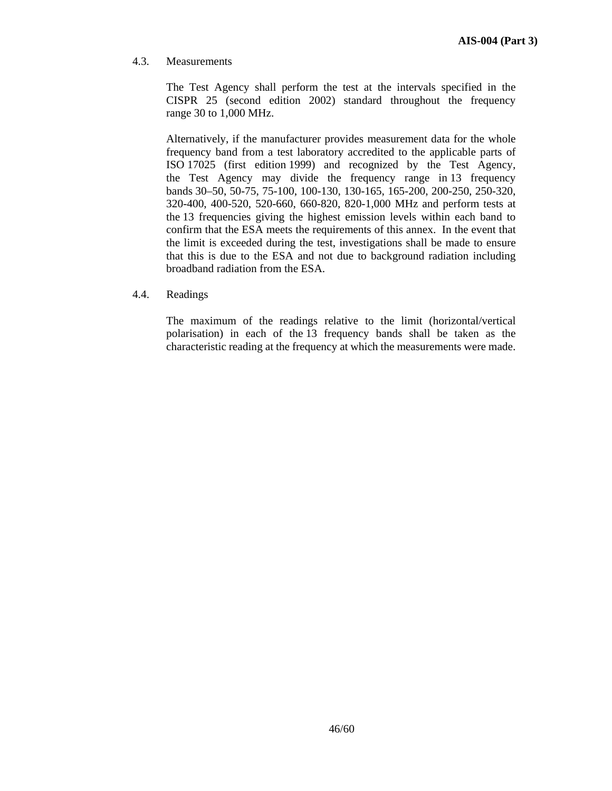4.3. Measurements

 The Test Agency shall perform the test at the intervals specified in the CISPR 25 (second edition 2002) standard throughout the frequency range 30 to 1,000 MHz.

 Alternatively, if the manufacturer provides measurement data for the whole frequency band from a test laboratory accredited to the applicable parts of ISO 17025 (first edition 1999) and recognized by the Test Agency, the Test Agency may divide the frequency range in 13 frequency bands 30–50, 50-75, 75-100, 100-130, 130-165, 165-200, 200-250, 250-320, 320-400, 400-520, 520-660, 660-820, 820-1,000 MHz and perform tests at the 13 frequencies giving the highest emission levels within each band to confirm that the ESA meets the requirements of this annex. In the event that the limit is exceeded during the test, investigations shall be made to ensure that this is due to the ESA and not due to background radiation including broadband radiation from the ESA.

4.4. Readings

 The maximum of the readings relative to the limit (horizontal/vertical polarisation) in each of the 13 frequency bands shall be taken as the characteristic reading at the frequency at which the measurements were made.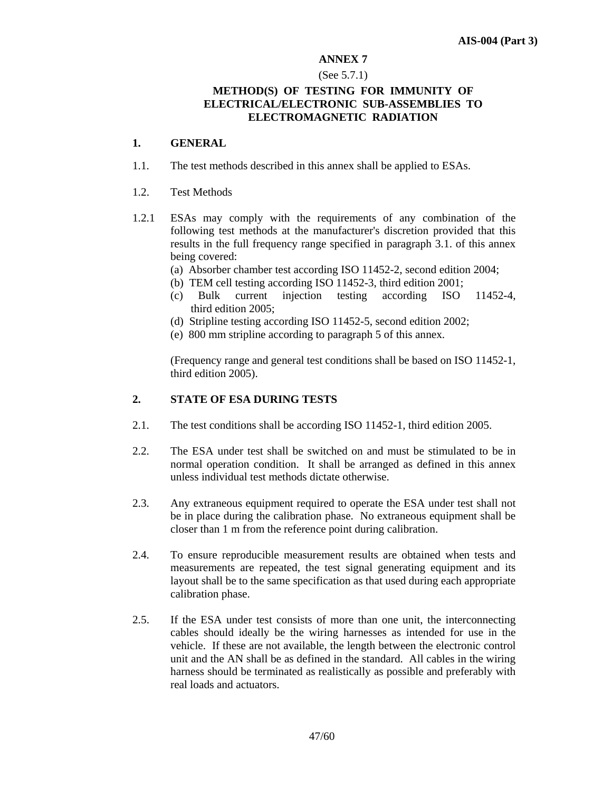### **ANNEX 7**

#### (See 5.7.1)

### **METHOD(S) OF TESTING FOR IMMUNITY OF ELECTRICAL/ELECTRONIC SUB-ASSEMBLIES TO ELECTROMAGNETIC RADIATION**

### **1. GENERAL**

- 1.1. The test methods described in this annex shall be applied to ESAs.
- 1.2. Test Methods
- 1.2.1 ESAs may comply with the requirements of any combination of the following test methods at the manufacturer's discretion provided that this results in the full frequency range specified in paragraph 3.1. of this annex being covered:
	- (a) Absorber chamber test according ISO 11452-2, second edition 2004;
	- (b) TEM cell testing according ISO 11452-3, third edition 2001;
	- (c) Bulk current injection testing according ISO 11452-4, third edition 2005;
	- (d) Stripline testing according ISO 11452-5, second edition 2002;
	- (e) 800 mm stripline according to paragraph 5 of this annex.

 (Frequency range and general test conditions shall be based on ISO 11452-1, third edition 2005).

### **2. STATE OF ESA DURING TESTS**

- 2.1. The test conditions shall be according ISO 11452-1, third edition 2005.
- 2.2. The ESA under test shall be switched on and must be stimulated to be in normal operation condition. It shall be arranged as defined in this annex unless individual test methods dictate otherwise.
- 2.3. Any extraneous equipment required to operate the ESA under test shall not be in place during the calibration phase. No extraneous equipment shall be closer than 1 m from the reference point during calibration.
- 2.4. To ensure reproducible measurement results are obtained when tests and measurements are repeated, the test signal generating equipment and its layout shall be to the same specification as that used during each appropriate calibration phase.
- 2.5. If the ESA under test consists of more than one unit, the interconnecting cables should ideally be the wiring harnesses as intended for use in the vehicle. If these are not available, the length between the electronic control unit and the AN shall be as defined in the standard. All cables in the wiring harness should be terminated as realistically as possible and preferably with real loads and actuators.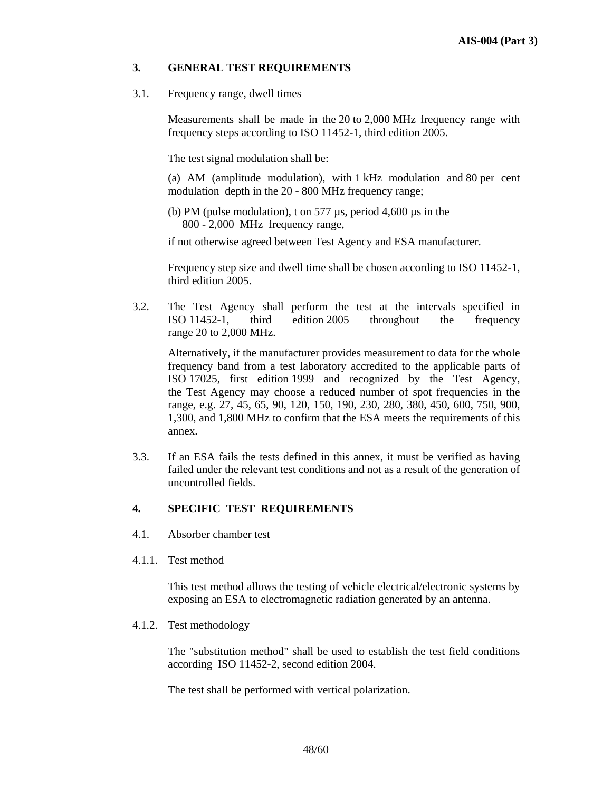### **3. GENERAL TEST REQUIREMENTS**

3.1. Frequency range, dwell times

 Measurements shall be made in the 20 to 2,000 MHz frequency range with frequency steps according to ISO 11452-1, third edition 2005.

The test signal modulation shall be:

 (a) AM (amplitude modulation), with 1 kHz modulation and 80 per cent modulation depth in the 20 - 800 MHz frequency range;

 (b) PM (pulse modulation), t on 577 µs, period 4,600 µs in the 800 - 2,000 MHz frequency range,

if not otherwise agreed between Test Agency and ESA manufacturer.

 Frequency step size and dwell time shall be chosen according to ISO 11452-1, third edition 2005.

3.2. The Test Agency shall perform the test at the intervals specified in ISO 11452-1, third edition 2005 throughout the frequency range 20 to 2,000 MHz.

Alternatively, if the manufacturer provides measurement to data for the whole frequency band from a test laboratory accredited to the applicable parts of ISO 17025, first edition 1999 and recognized by the Test Agency, the Test Agency may choose a reduced number of spot frequencies in the range, e.g. 27, 45, 65, 90, 120, 150, 190, 230, 280, 380, 450, 600, 750, 900, 1,300, and 1,800 MHz to confirm that the ESA meets the requirements of this annex.

3.3. If an ESA fails the tests defined in this annex, it must be verified as having failed under the relevant test conditions and not as a result of the generation of uncontrolled fields.

### **4. SPECIFIC TEST REQUIREMENTS**

- 4.1. Absorber chamber test
- 4.1.1. Test method

 This test method allows the testing of vehicle electrical/electronic systems by exposing an ESA to electromagnetic radiation generated by an antenna.

4.1.2. Test methodology

 The "substitution method" shall be used to establish the test field conditions according ISO 11452-2, second edition 2004.

The test shall be performed with vertical polarization.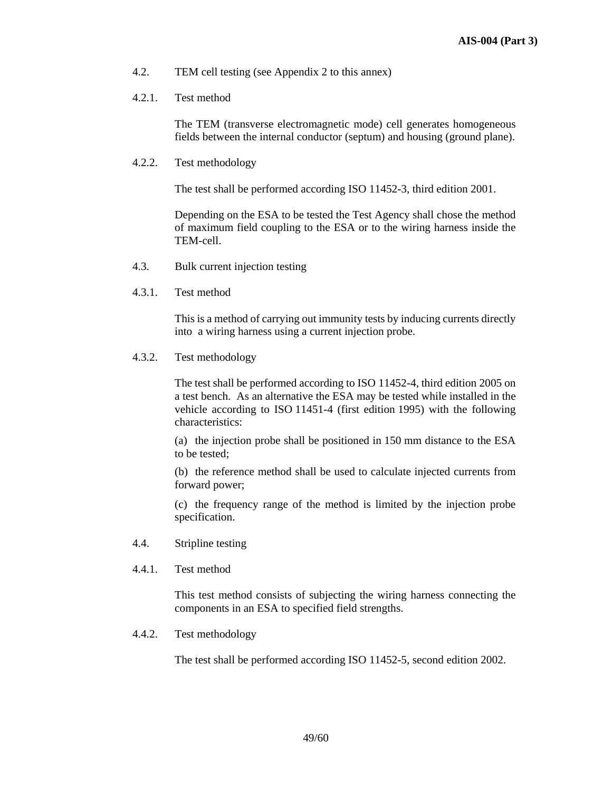- 4.2. TEM cell testing (see Appendix 2 to this annex)
- 4.2.1. Test method

 The TEM (transverse electromagnetic mode) cell generates homogeneous fields between the internal conductor (septum) and housing (ground plane).

4.2.2. Test methodology

The test shall be performed according ISO 11452-3, third edition 2001.

 Depending on the ESA to be tested the Test Agency shall chose the method of maximum field coupling to the ESA or to the wiring harness inside the TEM-cell.

- 4.3. Bulk current injection testing
- 4.3.1. Test method

 This is a method of carrying out immunity tests by inducing currents directly into a wiring harness using a current injection probe.

4.3.2. Test methodology

 The test shall be performed according to ISO 11452-4, third edition 2005 on a test bench. As an alternative the ESA may be tested while installed in the vehicle according to ISO 11451-4 (first edition 1995) with the following characteristics:

 (a) the injection probe shall be positioned in 150 mm distance to the ESA to be tested;

 (b) the reference method shall be used to calculate injected currents from forward power;

 (c) the frequency range of the method is limited by the injection probe specification.

- 4.4. Stripline testing
- 4.4.1. Test method

 This test method consists of subjecting the wiring harness connecting the components in an ESA to specified field strengths.

4.4.2. Test methodology

The test shall be performed according ISO 11452-5, second edition 2002.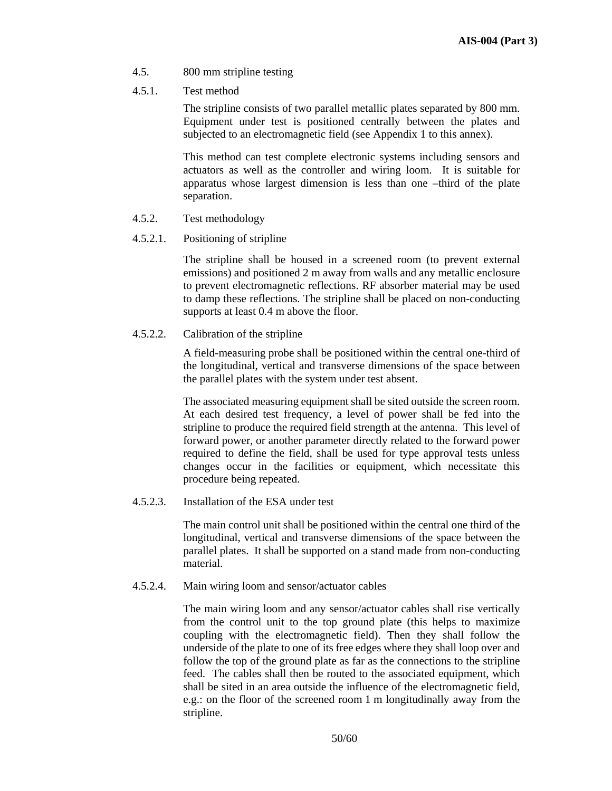- 4.5. 800 mm stripline testing
- 4.5.1. Test method

 The stripline consists of two parallel metallic plates separated by 800 mm. Equipment under test is positioned centrally between the plates and subjected to an electromagnetic field (see Appendix 1 to this annex).

 This method can test complete electronic systems including sensors and actuators as well as the controller and wiring loom. It is suitable for apparatus whose largest dimension is less than one –third of the plate separation.

- 4.5.2. Test methodology
- 4.5.2.1. Positioning of stripline

 The stripline shall be housed in a screened room (to prevent external emissions) and positioned 2 m away from walls and any metallic enclosure to prevent electromagnetic reflections. RF absorber material may be used to damp these reflections. The stripline shall be placed on non-conducting supports at least 0.4 m above the floor.

### 4.5.2.2. Calibration of the stripline

 A field-measuring probe shall be positioned within the central one-third of the longitudinal, vertical and transverse dimensions of the space between the parallel plates with the system under test absent.

 The associated measuring equipment shall be sited outside the screen room. At each desired test frequency, a level of power shall be fed into the stripline to produce the required field strength at the antenna. This level of forward power, or another parameter directly related to the forward power required to define the field, shall be used for type approval tests unless changes occur in the facilities or equipment, which necessitate this procedure being repeated.

### 4.5.2.3. Installation of the ESA under test

The main control unit shall be positioned within the central one third of the longitudinal, vertical and transverse dimensions of the space between the parallel plates. It shall be supported on a stand made from non-conducting material.

4.5.2.4. Main wiring loom and sensor/actuator cables

The main wiring loom and any sensor/actuator cables shall rise vertically from the control unit to the top ground plate (this helps to maximize coupling with the electromagnetic field). Then they shall follow the underside of the plate to one of its free edges where they shall loop over and follow the top of the ground plate as far as the connections to the stripline feed. The cables shall then be routed to the associated equipment, which shall be sited in an area outside the influence of the electromagnetic field, e.g.: on the floor of the screened room 1 m longitudinally away from the stripline.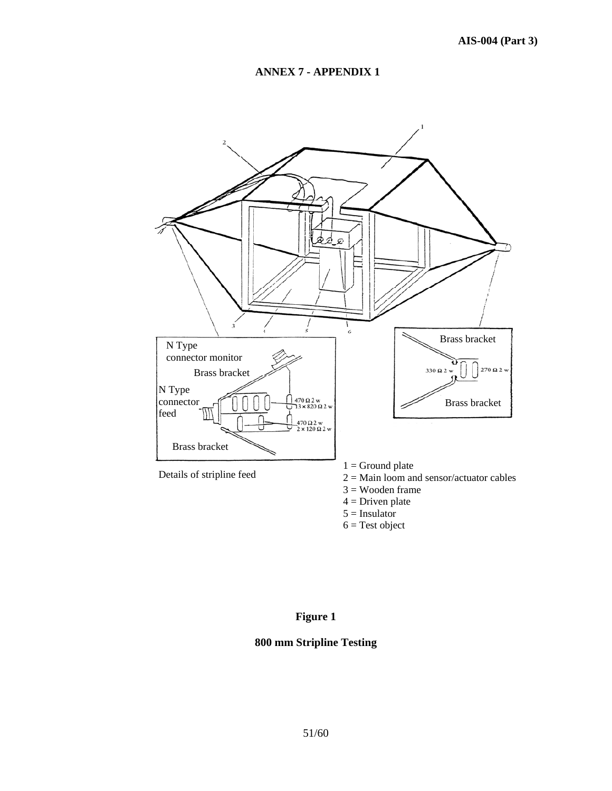## **ANNEX 7 - APPENDIX 1**



# **Figure 1**

# **800 mm Stripline Testing**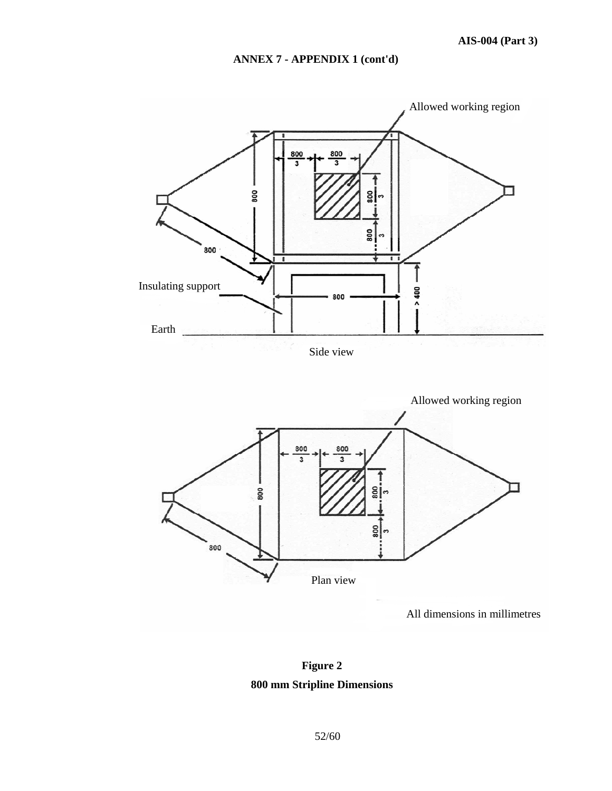# **ANNEX 7 - APPENDIX 1 (cont'd)**



All dimensions in millimetres

**Figure 2 800 mm Stripline Dimensions**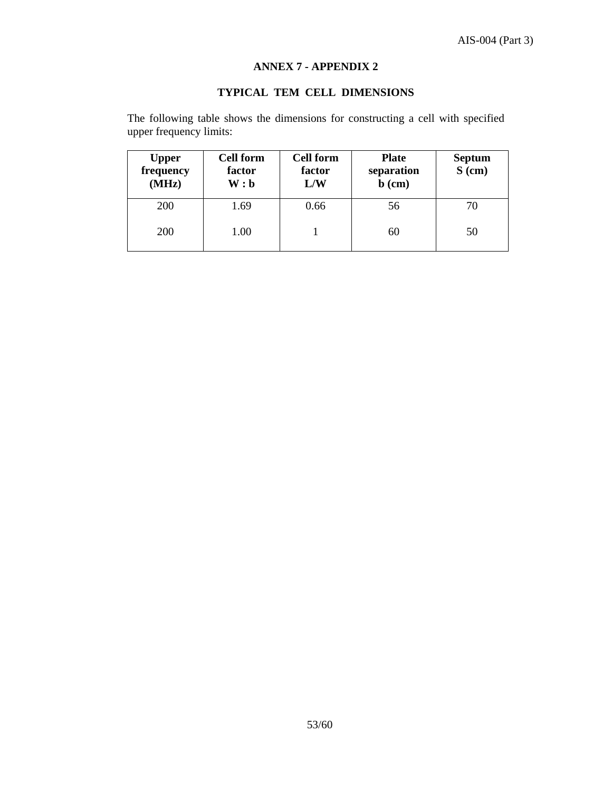# **ANNEX 7 - APPENDIX 2**

# **TYPICAL TEM CELL DIMENSIONS**

The following table shows the dimensions for constructing a cell with specified upper frequency limits:

| <b>Upper</b><br>frequency<br>(MHz) | <b>Cell form</b><br>factor<br>W:b | <b>Cell form</b><br>factor<br>L/W | <b>Plate</b><br>separation<br>$\mathbf b$ (cm) | <b>Septum</b><br>$S$ (cm) |
|------------------------------------|-----------------------------------|-----------------------------------|------------------------------------------------|---------------------------|
| <b>200</b>                         | 1.69                              | 0.66                              | 56                                             | 70                        |
| <b>200</b>                         | 1.00                              |                                   | 60                                             | 50                        |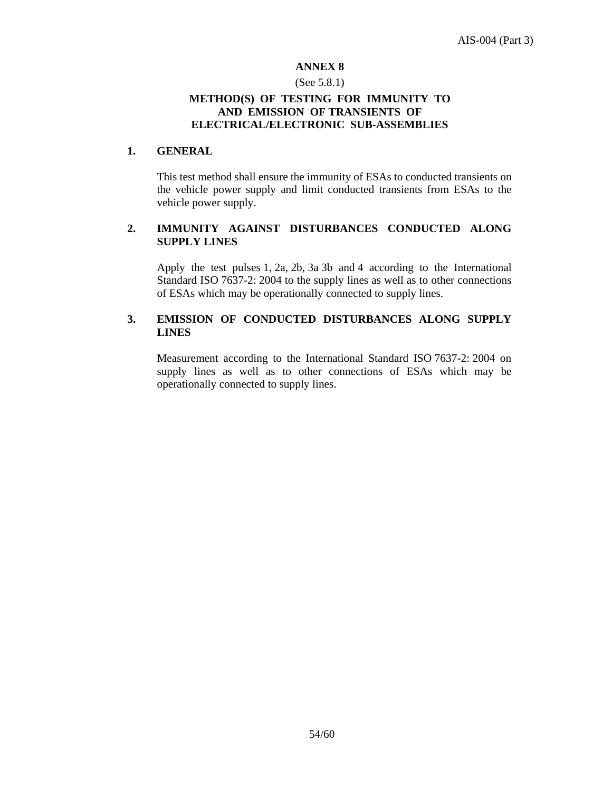### **ANNEX 8**

### (See 5.8.1)

### **METHOD(S) OF TESTING FOR IMMUNITY TO AND EMISSION OF TRANSIENTS OF ELECTRICAL/ELECTRONIC SUB-ASSEMBLIES**

### **1. GENERAL**

 This test method shall ensure the immunity of ESAs to conducted transients on the vehicle power supply and limit conducted transients from ESAs to the vehicle power supply.

## **2. IMMUNITY AGAINST DISTURBANCES CONDUCTED ALONG SUPPLY LINES**

 Apply the test pulses 1, 2a, 2b, 3a 3b and 4 according to the International Standard ISO 7637-2: 2004 to the supply lines as well as to other connections of ESAs which may be operationally connected to supply lines.

# **3. EMISSION OF CONDUCTED DISTURBANCES ALONG SUPPLY LINES**

 Measurement according to the International Standard ISO 7637-2: 2004 on supply lines as well as to other connections of ESAs which may be operationally connected to supply lines.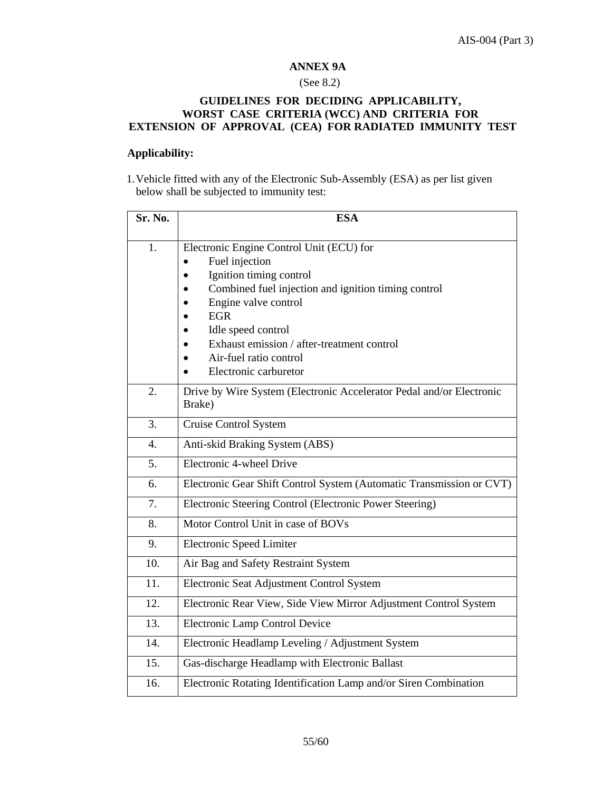# **ANNEX 9A**

# (See 8.2)

### **GUIDELINES FOR DECIDING APPLICABILITY, WORST CASE CRITERIA (WCC) AND CRITERIA FOR EXTENSION OF APPROVAL (CEA) FOR RADIATED IMMUNITY TEST**

### **Applicability:**

1.Vehicle fitted with any of the Electronic Sub-Assembly (ESA) as per list given below shall be subjected to immunity test:

| Sr. No.          | <b>ESA</b>                                                                     |  |  |  |
|------------------|--------------------------------------------------------------------------------|--|--|--|
|                  |                                                                                |  |  |  |
| 1.               | Electronic Engine Control Unit (ECU) for                                       |  |  |  |
|                  | Fuel injection                                                                 |  |  |  |
|                  | Ignition timing control                                                        |  |  |  |
|                  | Combined fuel injection and ignition timing control                            |  |  |  |
|                  | Engine valve control                                                           |  |  |  |
|                  | <b>EGR</b>                                                                     |  |  |  |
|                  | Idle speed control<br>Exhaust emission / after-treatment control               |  |  |  |
|                  | Air-fuel ratio control                                                         |  |  |  |
|                  | Electronic carburetor                                                          |  |  |  |
|                  |                                                                                |  |  |  |
| 2.               | Drive by Wire System (Electronic Accelerator Pedal and/or Electronic<br>Brake) |  |  |  |
| 3.               |                                                                                |  |  |  |
|                  | Cruise Control System                                                          |  |  |  |
| $\overline{4}$ . | Anti-skid Braking System (ABS)                                                 |  |  |  |
| 5.               | Electronic 4-wheel Drive                                                       |  |  |  |
| 6.               | Electronic Gear Shift Control System (Automatic Transmission or CVT)           |  |  |  |
| 7.               | Electronic Steering Control (Electronic Power Steering)                        |  |  |  |
| 8.               | Motor Control Unit in case of BOVs                                             |  |  |  |
| 9.               | <b>Electronic Speed Limiter</b>                                                |  |  |  |
| 10.              | Air Bag and Safety Restraint System                                            |  |  |  |
| 11.              | Electronic Seat Adjustment Control System                                      |  |  |  |
| 12.              | Electronic Rear View, Side View Mirror Adjustment Control System               |  |  |  |
| 13.              | Electronic Lamp Control Device                                                 |  |  |  |
| 14.              | Electronic Headlamp Leveling / Adjustment System                               |  |  |  |
| 15.              | Gas-discharge Headlamp with Electronic Ballast                                 |  |  |  |
| 16.              | Electronic Rotating Identification Lamp and/or Siren Combination               |  |  |  |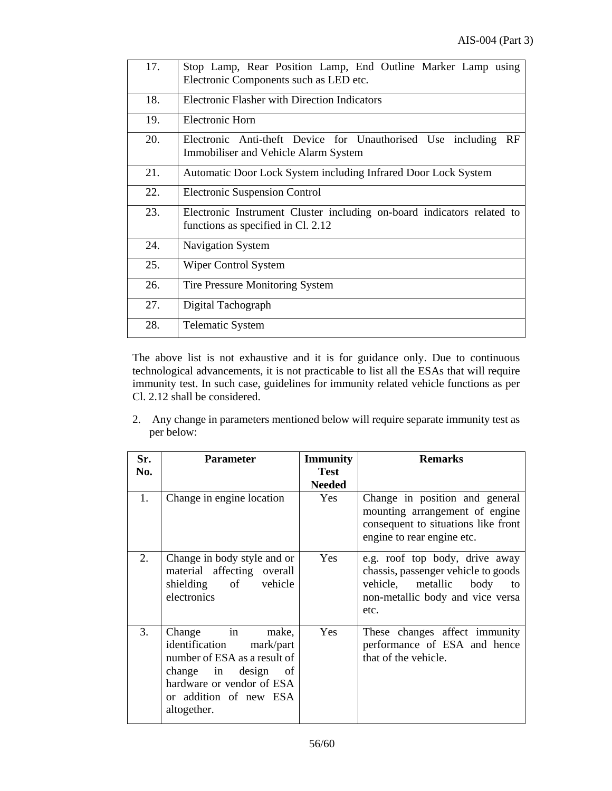| 17. | Stop Lamp, Rear Position Lamp, End Outline Marker Lamp using<br>Electronic Components such as LED etc.       |
|-----|--------------------------------------------------------------------------------------------------------------|
| 18. | <b>Electronic Flasher with Direction Indicators</b>                                                          |
| 19. | Electronic Horn                                                                                              |
| 20. | Electronic Anti-theft Device for Unauthorised Use including<br>RF<br>Immobiliser and Vehicle Alarm System    |
| 21. | Automatic Door Lock System including Infrared Door Lock System                                               |
| 22. | <b>Electronic Suspension Control</b>                                                                         |
| 23. | Electronic Instrument Cluster including on-board indicators related to<br>functions as specified in Cl. 2.12 |
| 24. | Navigation System                                                                                            |
| 25. | Wiper Control System                                                                                         |
| 26. | Tire Pressure Monitoring System                                                                              |
| 27. | Digital Tachograph                                                                                           |
| 28. | <b>Telematic System</b>                                                                                      |

The above list is not exhaustive and it is for guidance only. Due to continuous technological advancements, it is not practicable to list all the ESAs that will require immunity test. In such case, guidelines for immunity related vehicle functions as per Cl. 2.12 shall be considered.

2. Any change in parameters mentioned below will require separate immunity test as per below:

| Sr.<br>No. | <b>Parameter</b>                                                                                                                                                            | <b>Immunity</b><br><b>Test</b><br><b>Needed</b> | <b>Remarks</b>                                                                                                                                       |
|------------|-----------------------------------------------------------------------------------------------------------------------------------------------------------------------------|-------------------------------------------------|------------------------------------------------------------------------------------------------------------------------------------------------------|
| 1.         | Change in engine location                                                                                                                                                   | Yes                                             | Change in position and general<br>mounting arrangement of engine<br>consequent to situations like front<br>engine to rear engine etc.                |
| 2.         | Change in body style and or<br>material affecting overall<br>shielding of vehicle<br>electronics                                                                            | Yes                                             | e.g. roof top body, drive away<br>chassis, passenger vehicle to goods<br>vehicle, metallic<br>body<br>to<br>non-metallic body and vice versa<br>etc. |
| 3.         | Change in<br>make,<br>identification mark/part<br>number of ESA as a result of<br>change in design of<br>hardware or vendor of ESA<br>or addition of new ESA<br>altogether. | Yes                                             | These changes affect immunity<br>performance of ESA and hence<br>that of the vehicle.                                                                |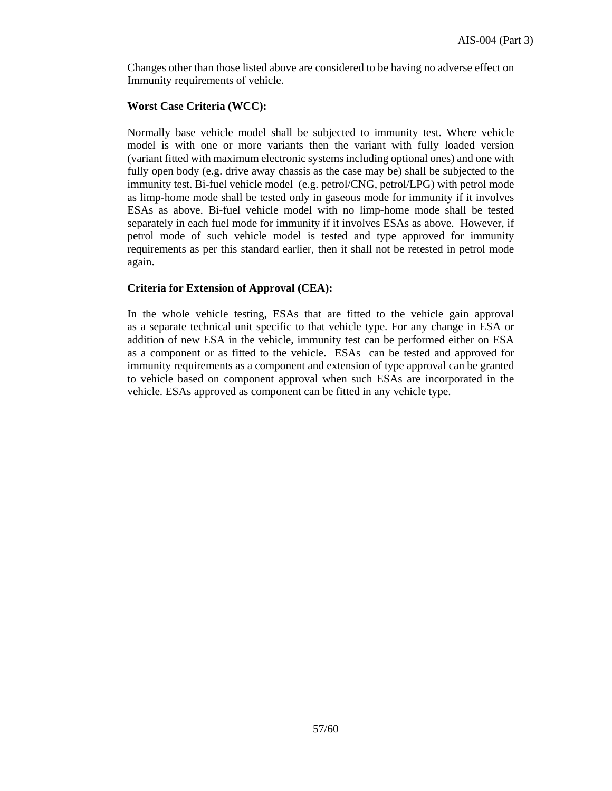Changes other than those listed above are considered to be having no adverse effect on Immunity requirements of vehicle.

### **Worst Case Criteria (WCC):**

Normally base vehicle model shall be subjected to immunity test. Where vehicle model is with one or more variants then the variant with fully loaded version (variant fitted with maximum electronic systems including optional ones) and one with fully open body (e.g. drive away chassis as the case may be) shall be subjected to the immunity test. Bi-fuel vehicle model (e.g. petrol/CNG, petrol/LPG) with petrol mode as limp-home mode shall be tested only in gaseous mode for immunity if it involves ESAs as above. Bi-fuel vehicle model with no limp-home mode shall be tested separately in each fuel mode for immunity if it involves ESAs as above. However, if petrol mode of such vehicle model is tested and type approved for immunity requirements as per this standard earlier, then it shall not be retested in petrol mode again.

### **Criteria for Extension of Approval (CEA):**

In the whole vehicle testing, ESAs that are fitted to the vehicle gain approval as a separate technical unit specific to that vehicle type. For any change in ESA or addition of new ESA in the vehicle, immunity test can be performed either on ESA as a component or as fitted to the vehicle. ESAs can be tested and approved for immunity requirements as a component and extension of type approval can be granted to vehicle based on component approval when such ESAs are incorporated in the vehicle. ESAs approved as component can be fitted in any vehicle type.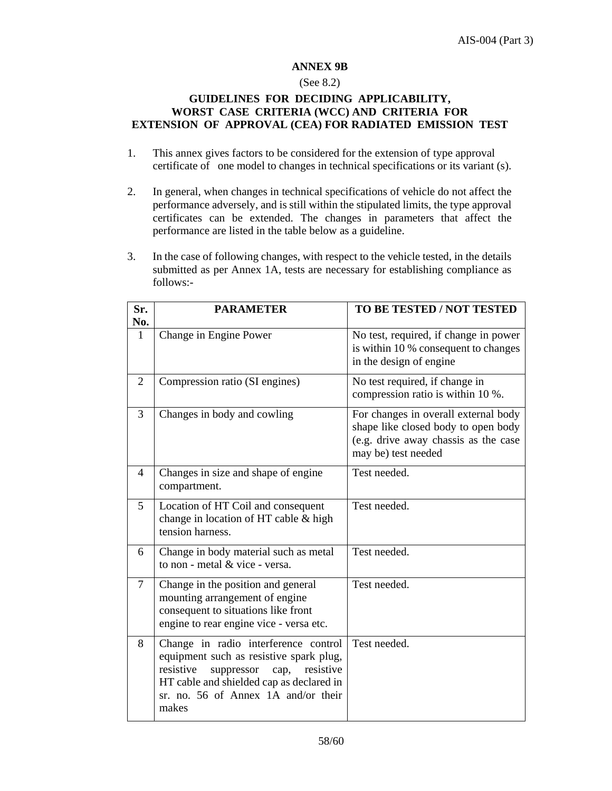### **ANNEX 9B**

## (See 8.2)

### **GUIDELINES FOR DECIDING APPLICABILITY, WORST CASE CRITERIA (WCC) AND CRITERIA FOR EXTENSION OF APPROVAL (CEA) FOR RADIATED EMISSION TEST**

- 1. This annex gives factors to be considered for the extension of type approval certificate of one model to changes in technical specifications or its variant (s).
- 2. In general, when changes in technical specifications of vehicle do not affect the performance adversely, and is still within the stipulated limits, the type approval certificates can be extended. The changes in parameters that affect the performance are listed in the table below as a guideline.
- 3. In the case of following changes, with respect to the vehicle tested, in the details submitted as per Annex 1A, tests are necessary for establishing compliance as follows:-

| Sr.            | <b>PARAMETER</b>                                                                                                                                                                                                            | TO BE TESTED / NOT TESTED                                                                                                                  |
|----------------|-----------------------------------------------------------------------------------------------------------------------------------------------------------------------------------------------------------------------------|--------------------------------------------------------------------------------------------------------------------------------------------|
| No.            |                                                                                                                                                                                                                             |                                                                                                                                            |
| 1              | Change in Engine Power                                                                                                                                                                                                      | No test, required, if change in power<br>is within 10 % consequent to changes<br>in the design of engine                                   |
| 2              | Compression ratio (SI engines)                                                                                                                                                                                              | No test required, if change in<br>compression ratio is within 10 %.                                                                        |
| 3              | Changes in body and cowling                                                                                                                                                                                                 | For changes in overall external body<br>shape like closed body to open body<br>(e.g. drive away chassis as the case<br>may be) test needed |
| 4              | Changes in size and shape of engine<br>compartment.                                                                                                                                                                         | Test needed.                                                                                                                               |
| 5              | Location of HT Coil and consequent<br>change in location of HT cable & high<br>tension harness.                                                                                                                             | Test needed.                                                                                                                               |
| 6              | Change in body material such as metal<br>to non - metal & vice - versa.                                                                                                                                                     | Test needed.                                                                                                                               |
| $\overline{7}$ | Change in the position and general<br>mounting arrangement of engine<br>consequent to situations like front<br>engine to rear engine vice - versa etc.                                                                      | Test needed.                                                                                                                               |
| 8              | Change in radio interference control<br>equipment such as resistive spark plug,<br>resistive<br>resistive<br>suppressor<br>cap,<br>HT cable and shielded cap as declared in<br>sr. no. 56 of Annex 1A and/or their<br>makes | Test needed.                                                                                                                               |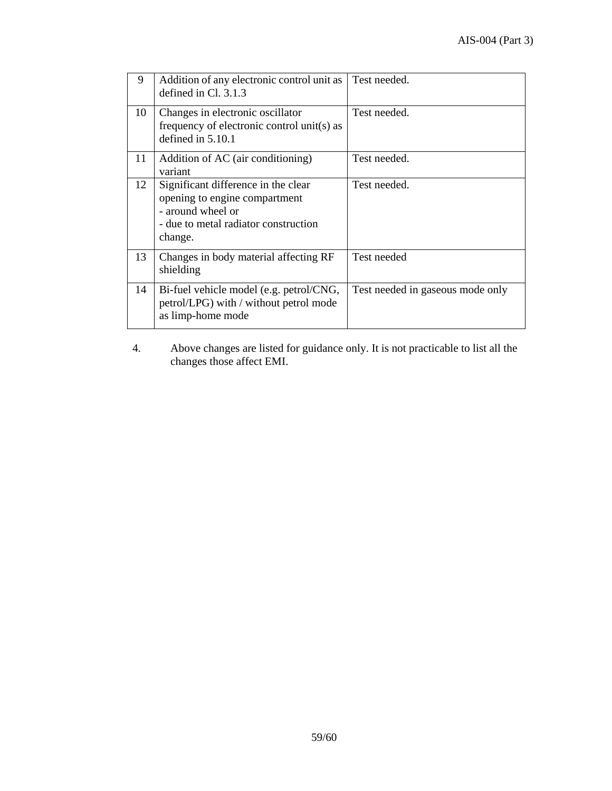| 9  | Addition of any electronic control unit as<br>defined in $Cl. 3.1.3$                                                                         | Test needed.                     |
|----|----------------------------------------------------------------------------------------------------------------------------------------------|----------------------------------|
| 10 | Changes in electronic oscillator<br>frequency of electronic control unit(s) as<br>defined in $5.10.1$                                        | Test needed.                     |
| 11 | Addition of AC (air conditioning)<br>variant                                                                                                 | Test needed.                     |
| 12 | Significant difference in the clear<br>opening to engine compartment<br>- around wheel or<br>- due to metal radiator construction<br>change. | Test needed.                     |
| 13 | Changes in body material affecting RF<br>shielding                                                                                           | Test needed                      |
| 14 | Bi-fuel vehicle model (e.g. petrol/CNG,<br>petrol/LPG) with / without petrol mode<br>as limp-home mode                                       | Test needed in gaseous mode only |

4. Above changes are listed for guidance only. It is not practicable to list all the changes those affect EMI.